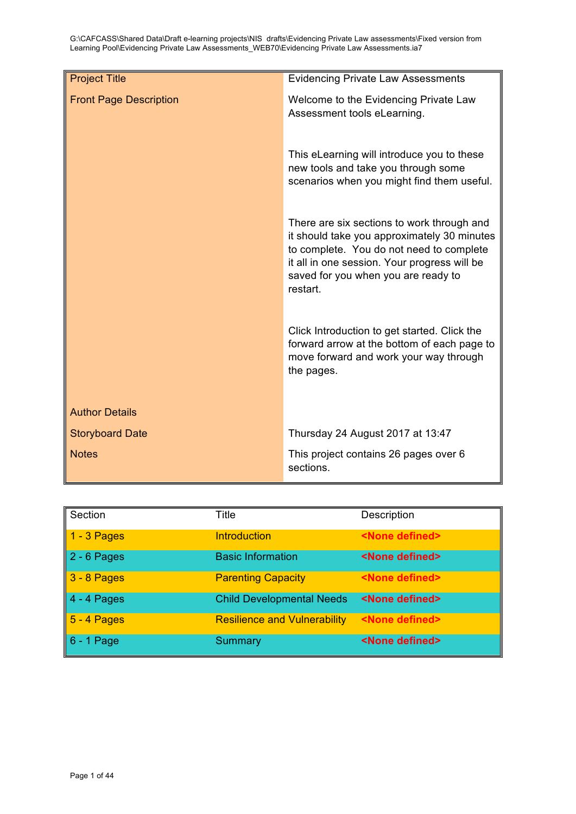| <b>Project Title</b>          | <b>Evidencing Private Law Assessments</b>                                                                                                                                                                                                |
|-------------------------------|------------------------------------------------------------------------------------------------------------------------------------------------------------------------------------------------------------------------------------------|
| <b>Front Page Description</b> | Welcome to the Evidencing Private Law<br>Assessment tools eLearning.                                                                                                                                                                     |
|                               | This eLearning will introduce you to these<br>new tools and take you through some<br>scenarios when you might find them useful.                                                                                                          |
|                               | There are six sections to work through and<br>it should take you approximately 30 minutes<br>to complete. You do not need to complete<br>it all in one session. Your progress will be<br>saved for you when you are ready to<br>restart. |
|                               | Click Introduction to get started. Click the<br>forward arrow at the bottom of each page to<br>move forward and work your way through<br>the pages.                                                                                      |
| <b>Author Details</b>         |                                                                                                                                                                                                                                          |
| <b>Storyboard Date</b>        | Thursday 24 August 2017 at 13:47                                                                                                                                                                                                         |
| <b>Notes</b>                  | This project contains 26 pages over 6<br>sections.                                                                                                                                                                                       |

| Section       | Title                               | Description              |
|---------------|-------------------------------------|--------------------------|
| 1 - 3 Pages   | <b>Introduction</b>                 | <none defined=""></none> |
| $2 - 6$ Pages | <b>Basic Information</b>            | <none defined=""></none> |
| 3 - 8 Pages   | <b>Parenting Capacity</b>           | <none defined=""></none> |
| $4 - 4$ Pages | <b>Child Developmental Needs</b>    | <none defined=""></none> |
| $5 - 4$ Pages | <b>Resilience and Vulnerability</b> | <none defined=""></none> |
| $6 - 1$ Page  | Summary                             | <none defined=""></none> |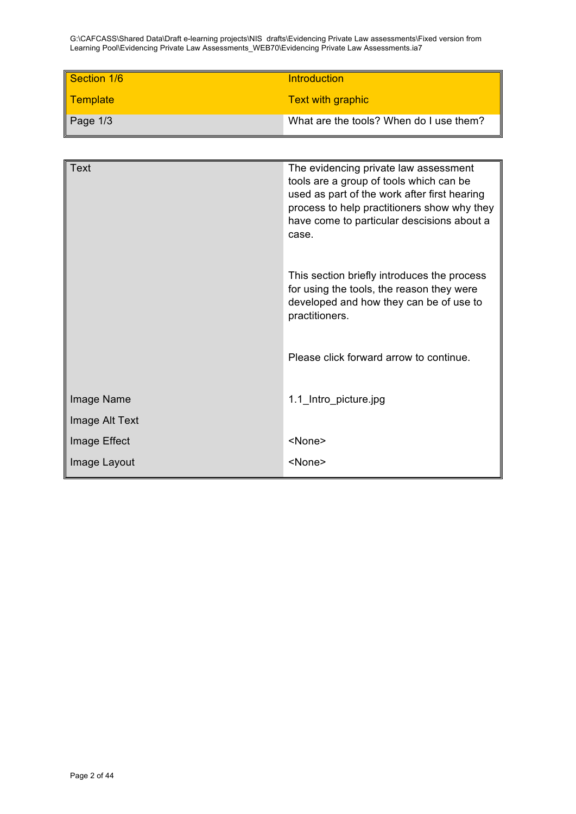| Section 1/6      | <b>Introduction</b>                     |
|------------------|-----------------------------------------|
| Template         | <b>Text with graphic</b>                |
| $\vert$ Page 1/3 | What are the tools? When do I use them? |

| <b>Text</b>    | The evidencing private law assessment<br>tools are a group of tools which can be<br>used as part of the work after first hearing<br>process to help practitioners show why they<br>have come to particular descisions about a<br>case. |
|----------------|----------------------------------------------------------------------------------------------------------------------------------------------------------------------------------------------------------------------------------------|
|                | This section briefly introduces the process<br>for using the tools, the reason they were<br>developed and how they can be of use to<br>practitioners.                                                                                  |
|                | Please click forward arrow to continue.                                                                                                                                                                                                |
| Image Name     | 1.1_Intro_picture.jpg                                                                                                                                                                                                                  |
| Image Alt Text |                                                                                                                                                                                                                                        |
| Image Effect   | <none></none>                                                                                                                                                                                                                          |
| Image Layout   | $<$ None $>$                                                                                                                                                                                                                           |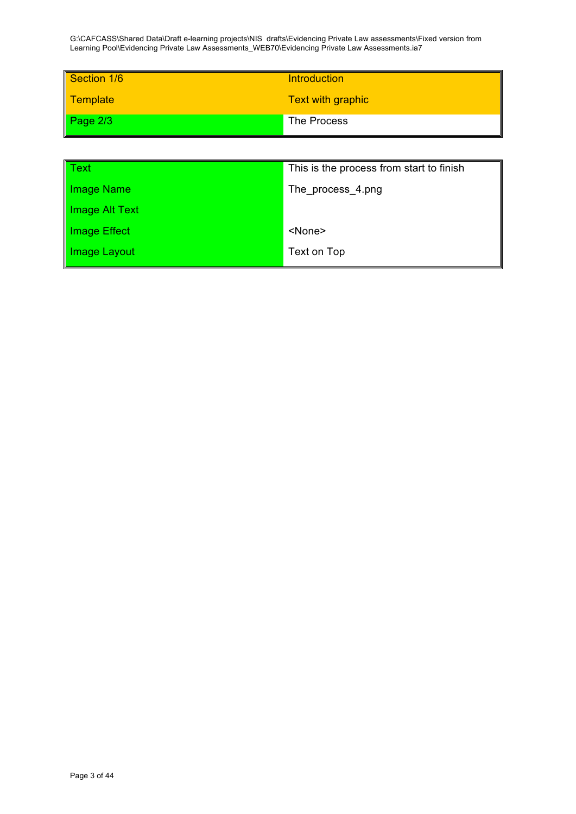| Section 1/6 | Introduction      |
|-------------|-------------------|
| Template    | Text with graphic |
| Page $2/3$  | The Process       |
|             |                   |

| This is the process from start to finish |
|------------------------------------------|
| The process 4.png                        |
|                                          |
| <none></none>                            |
| Text on Top                              |
|                                          |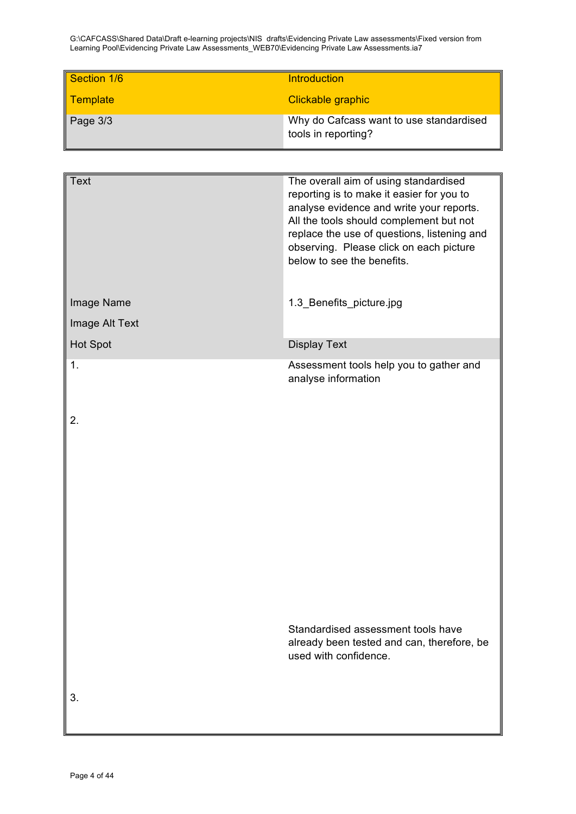| Section 1/6 | <b>Introduction</b>                                            |
|-------------|----------------------------------------------------------------|
| Template    | Clickable graphic                                              |
| Page 3/3    | Why do Cafcass want to use standardised<br>tools in reporting? |

| <b>Text</b>    | The overall aim of using standardised<br>reporting is to make it easier for you to<br>analyse evidence and write your reports.<br>All the tools should complement but not<br>replace the use of questions, listening and<br>observing. Please click on each picture<br>below to see the benefits. |
|----------------|---------------------------------------------------------------------------------------------------------------------------------------------------------------------------------------------------------------------------------------------------------------------------------------------------|
| Image Name     | 1.3_Benefits_picture.jpg                                                                                                                                                                                                                                                                          |
| Image Alt Text |                                                                                                                                                                                                                                                                                                   |
| Hot Spot       | <b>Display Text</b>                                                                                                                                                                                                                                                                               |
| 1.             | Assessment tools help you to gather and<br>analyse information                                                                                                                                                                                                                                    |
| 2.             |                                                                                                                                                                                                                                                                                                   |
|                | Standardised assessment tools have<br>already been tested and can, therefore, be<br>used with confidence.                                                                                                                                                                                         |
| 3.             |                                                                                                                                                                                                                                                                                                   |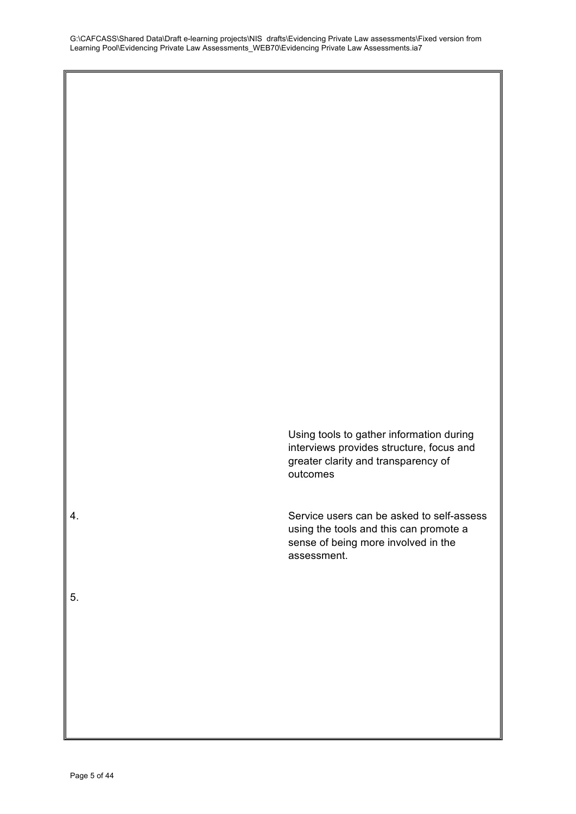Using tools to gather information during interviews provides structure, focus and greater clarity and transparency of outcomes

4. Service users can be asked to self-assess using the tools and this can promote a sense of being more involved in the assessment.

5.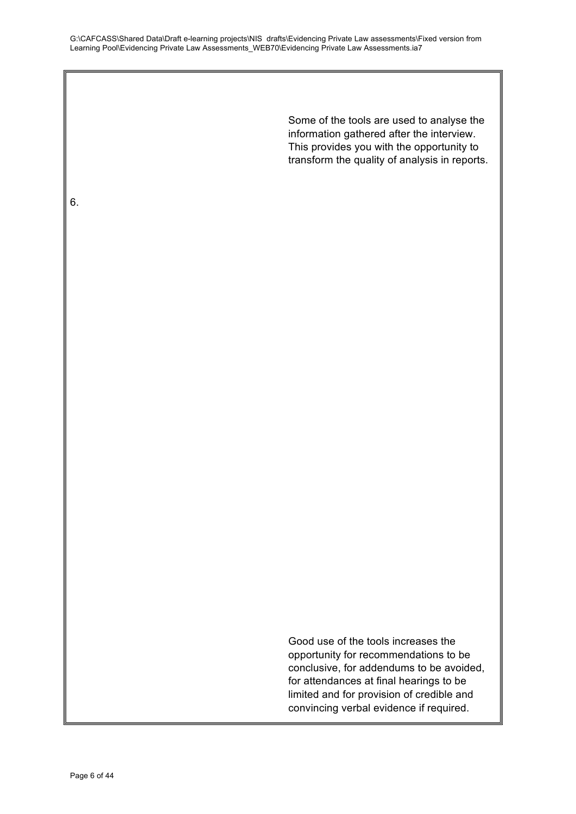> Some of the tools are used to analyse the information gathered after the interview. This provides you with the opportunity to transform the quality of analysis in reports.

Good use of the tools increases the opportunity for recommendations to be conclusive, for addendums to be avoided, for attendances at final hearings to be limited and for provision of credible and convincing verbal evidence if required.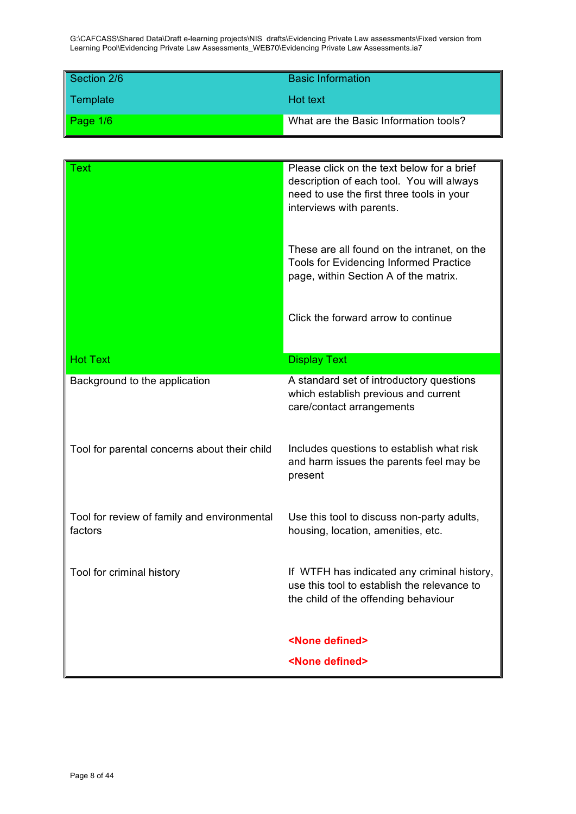| Section 2/6 | <b>Basic Information</b>              |
|-------------|---------------------------------------|
| Template    | Hot text                              |
| Page $1/6$  | What are the Basic Information tools? |

| Text                                                   | Please click on the text below for a brief<br>description of each tool. You will always<br>need to use the first three tools in your<br>interviews with parents. |
|--------------------------------------------------------|------------------------------------------------------------------------------------------------------------------------------------------------------------------|
|                                                        | These are all found on the intranet, on the<br><b>Tools for Evidencing Informed Practice</b><br>page, within Section A of the matrix.                            |
|                                                        | Click the forward arrow to continue                                                                                                                              |
| <b>Hot Text</b>                                        | <b>Display Text</b>                                                                                                                                              |
| Background to the application                          | A standard set of introductory questions<br>which establish previous and current<br>care/contact arrangements                                                    |
| Tool for parental concerns about their child           | Includes questions to establish what risk<br>and harm issues the parents feel may be<br>present                                                                  |
| Tool for review of family and environmental<br>factors | Use this tool to discuss non-party adults,<br>housing, location, amenities, etc.                                                                                 |
| Tool for criminal history                              | If WTFH has indicated any criminal history,<br>use this tool to establish the relevance to<br>the child of the offending behaviour                               |
|                                                        | <none defined=""></none>                                                                                                                                         |
|                                                        | <none defined=""></none>                                                                                                                                         |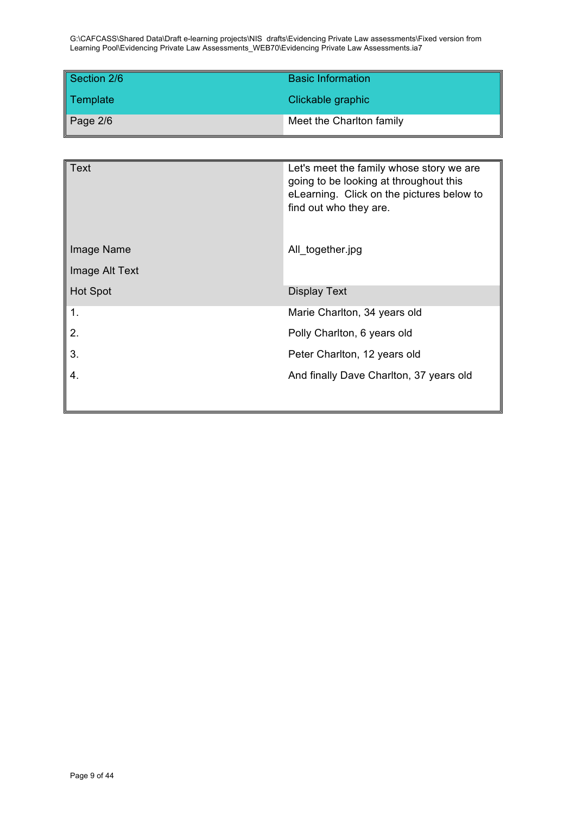| Section 2/6 | <b>Basic Information</b> |
|-------------|--------------------------|
| Template    | Clickable graphic        |
| Page $2/6$  | Meet the Charlton family |

| <b>Text</b>     | Let's meet the family whose story we are<br>going to be looking at throughout this<br>eLearning. Click on the pictures below to<br>find out who they are. |
|-----------------|-----------------------------------------------------------------------------------------------------------------------------------------------------------|
| Image Name      | All_together.jpg                                                                                                                                          |
| Image Alt Text  |                                                                                                                                                           |
| <b>Hot Spot</b> | <b>Display Text</b>                                                                                                                                       |
| 1.              | Marie Charlton, 34 years old                                                                                                                              |
| 2.              | Polly Charlton, 6 years old                                                                                                                               |
| 3.              | Peter Charlton, 12 years old                                                                                                                              |
| 4.              | And finally Dave Charlton, 37 years old                                                                                                                   |
|                 |                                                                                                                                                           |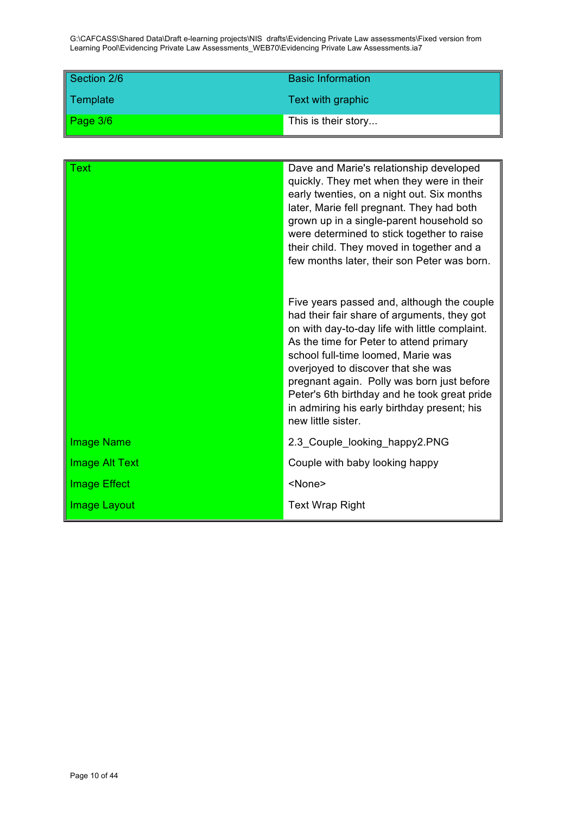| Section 2/6 | <b>Basic Information</b> |
|-------------|--------------------------|
| Template    | Text with graphic        |
| Page $3/6$  | This is their story      |

| Text                  | Dave and Marie's relationship developed<br>quickly. They met when they were in their<br>early twenties, on a night out. Six months<br>later, Marie fell pregnant. They had both<br>grown up in a single-parent household so<br>were determined to stick together to raise<br>their child. They moved in together and a<br>few months later, their son Peter was born.                                                                 |
|-----------------------|---------------------------------------------------------------------------------------------------------------------------------------------------------------------------------------------------------------------------------------------------------------------------------------------------------------------------------------------------------------------------------------------------------------------------------------|
|                       | Five years passed and, although the couple<br>had their fair share of arguments, they got<br>on with day-to-day life with little complaint.<br>As the time for Peter to attend primary<br>school full-time loomed, Marie was<br>overjoyed to discover that she was<br>pregnant again. Polly was born just before<br>Peter's 6th birthday and he took great pride<br>in admiring his early birthday present; his<br>new little sister. |
| <b>Image Name</b>     | 2.3_Couple_looking_happy2.PNG                                                                                                                                                                                                                                                                                                                                                                                                         |
| <b>Image Alt Text</b> | Couple with baby looking happy                                                                                                                                                                                                                                                                                                                                                                                                        |
| <b>Image Effect</b>   | <none></none>                                                                                                                                                                                                                                                                                                                                                                                                                         |
| <b>Image Layout</b>   | <b>Text Wrap Right</b>                                                                                                                                                                                                                                                                                                                                                                                                                |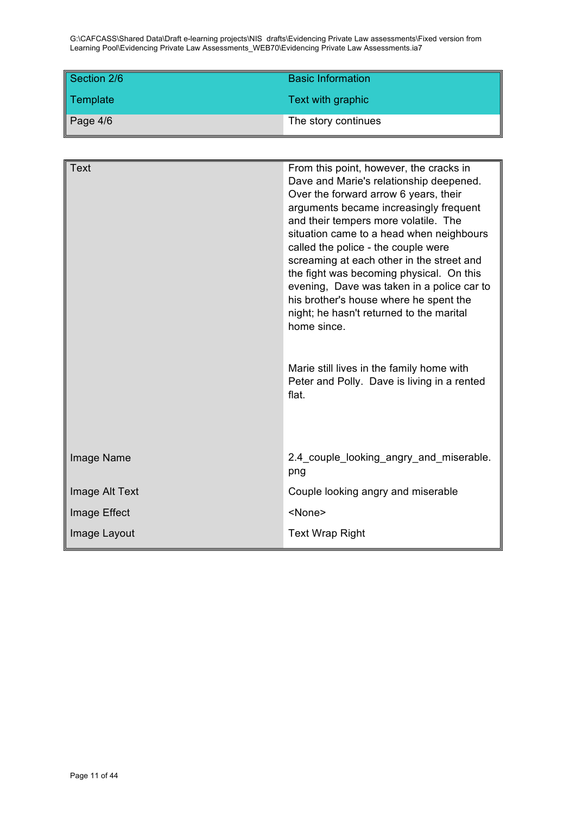| Section 2/6 | <b>Basic Information</b> |
|-------------|--------------------------|
| Template    | Text with graphic        |
| Page $4/6$  | The story continues      |

| <b>Text</b>    | From this point, however, the cracks in<br>Dave and Marie's relationship deepened.<br>Over the forward arrow 6 years, their<br>arguments became increasingly frequent<br>and their tempers more volatile. The<br>situation came to a head when neighbours<br>called the police - the couple were<br>screaming at each other in the street and<br>the fight was becoming physical. On this<br>evening, Dave was taken in a police car to<br>his brother's house where he spent the<br>night; he hasn't returned to the marital<br>home since.<br>Marie still lives in the family home with<br>Peter and Polly. Dave is living in a rented<br>flat. |
|----------------|---------------------------------------------------------------------------------------------------------------------------------------------------------------------------------------------------------------------------------------------------------------------------------------------------------------------------------------------------------------------------------------------------------------------------------------------------------------------------------------------------------------------------------------------------------------------------------------------------------------------------------------------------|
| Image Name     | 2.4 couple looking angry and miserable.<br>png                                                                                                                                                                                                                                                                                                                                                                                                                                                                                                                                                                                                    |
| Image Alt Text | Couple looking angry and miserable                                                                                                                                                                                                                                                                                                                                                                                                                                                                                                                                                                                                                |
| Image Effect   | <none></none>                                                                                                                                                                                                                                                                                                                                                                                                                                                                                                                                                                                                                                     |
| Image Layout   | <b>Text Wrap Right</b>                                                                                                                                                                                                                                                                                                                                                                                                                                                                                                                                                                                                                            |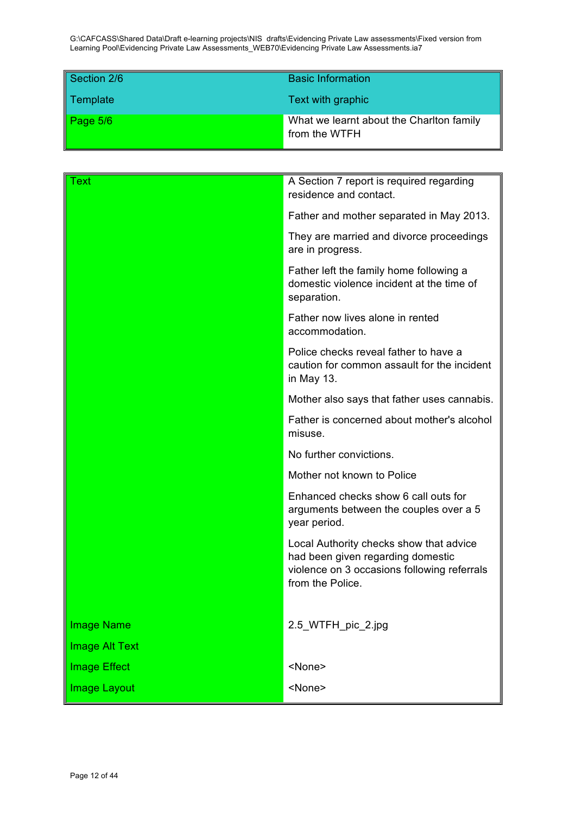| Section 2/6 | <b>Basic Information</b>                                  |
|-------------|-----------------------------------------------------------|
| Template    | Text with graphic                                         |
| Page 5/6    | What we learnt about the Charlton family<br>from the WTFH |

| Text                | A Section 7 report is required regarding<br>residence and contact.                                                                              |
|---------------------|-------------------------------------------------------------------------------------------------------------------------------------------------|
|                     | Father and mother separated in May 2013.                                                                                                        |
|                     | They are married and divorce proceedings<br>are in progress.                                                                                    |
|                     | Father left the family home following a<br>domestic violence incident at the time of<br>separation.                                             |
|                     | Father now lives alone in rented<br>accommodation.                                                                                              |
|                     | Police checks reveal father to have a<br>caution for common assault for the incident<br>in May 13.                                              |
|                     | Mother also says that father uses cannabis.                                                                                                     |
|                     | Father is concerned about mother's alcohol<br>misuse.                                                                                           |
|                     | No further convictions.                                                                                                                         |
|                     | Mother not known to Police                                                                                                                      |
|                     | Enhanced checks show 6 call outs for<br>arguments between the couples over a 5<br>year period.                                                  |
|                     | Local Authority checks show that advice<br>had been given regarding domestic<br>violence on 3 occasions following referrals<br>from the Police. |
| <b>Image Name</b>   | 2.5_WTFH_pic_2.jpg                                                                                                                              |
| Image Alt Text      |                                                                                                                                                 |
| <b>Image Effect</b> | <none></none>                                                                                                                                   |
| Image Layout        | <none></none>                                                                                                                                   |
|                     |                                                                                                                                                 |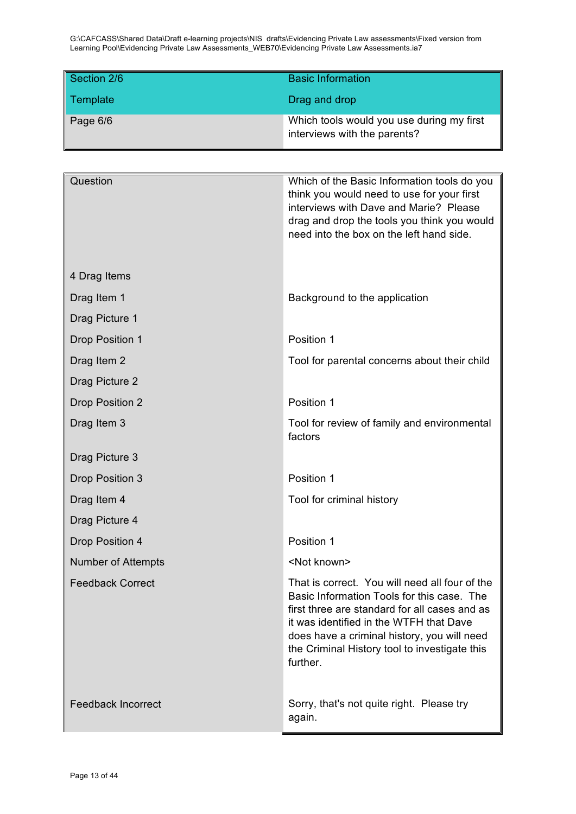| Section 2/6 | <b>Basic Information</b>                                                  |
|-------------|---------------------------------------------------------------------------|
| Template    | Drag and drop                                                             |
| Page 6/6    | Which tools would you use during my first<br>interviews with the parents? |

| Question                  | Which of the Basic Information tools do you<br>think you would need to use for your first<br>interviews with Dave and Marie? Please<br>drag and drop the tools you think you would<br>need into the box on the left hand side.                                                                       |
|---------------------------|------------------------------------------------------------------------------------------------------------------------------------------------------------------------------------------------------------------------------------------------------------------------------------------------------|
| 4 Drag Items              |                                                                                                                                                                                                                                                                                                      |
| Drag Item 1               | Background to the application                                                                                                                                                                                                                                                                        |
| Drag Picture 1            |                                                                                                                                                                                                                                                                                                      |
| Drop Position 1           | Position 1                                                                                                                                                                                                                                                                                           |
| Drag Item 2               | Tool for parental concerns about their child                                                                                                                                                                                                                                                         |
| Drag Picture 2            |                                                                                                                                                                                                                                                                                                      |
| <b>Drop Position 2</b>    | Position 1                                                                                                                                                                                                                                                                                           |
| Drag Item 3               | Tool for review of family and environmental<br>factors                                                                                                                                                                                                                                               |
| Drag Picture 3            |                                                                                                                                                                                                                                                                                                      |
| Drop Position 3           | Position 1                                                                                                                                                                                                                                                                                           |
| Drag Item 4               | Tool for criminal history                                                                                                                                                                                                                                                                            |
| Drag Picture 4            |                                                                                                                                                                                                                                                                                                      |
| Drop Position 4           | Position 1                                                                                                                                                                                                                                                                                           |
| <b>Number of Attempts</b> | <not known=""></not>                                                                                                                                                                                                                                                                                 |
| <b>Feedback Correct</b>   | That is correct. You will need all four of the<br>Basic Information Tools for this case. The<br>first three are standard for all cases and as<br>it was identified in the WTFH that Dave<br>does have a criminal history, you will need<br>the Criminal History tool to investigate this<br>further. |
| <b>Feedback Incorrect</b> | Sorry, that's not quite right. Please try<br>again.                                                                                                                                                                                                                                                  |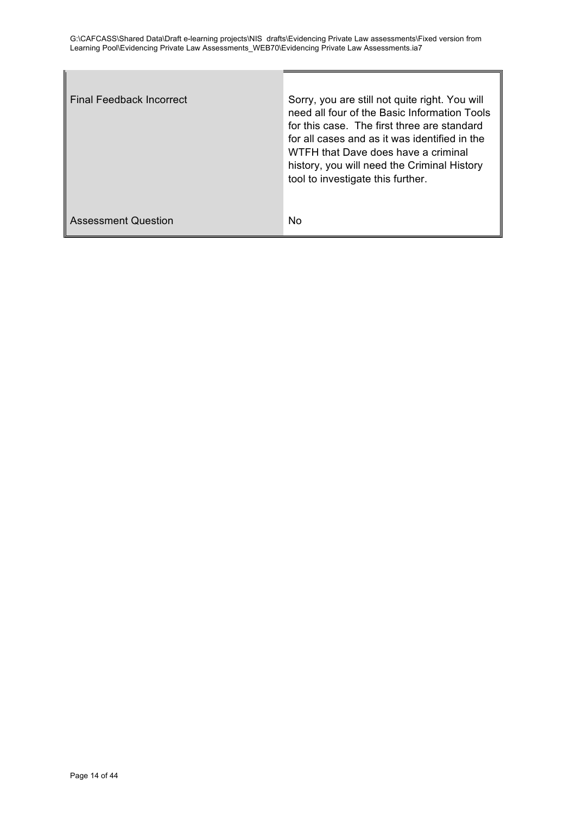| <b>Final Feedback Incorrect</b> | Sorry, you are still not quite right. You will<br>need all four of the Basic Information Tools<br>for this case. The first three are standard<br>for all cases and as it was identified in the<br>WTFH that Dave does have a criminal<br>history, you will need the Criminal History<br>tool to investigate this further. |
|---------------------------------|---------------------------------------------------------------------------------------------------------------------------------------------------------------------------------------------------------------------------------------------------------------------------------------------------------------------------|
| <b>Assessment Question</b>      | No                                                                                                                                                                                                                                                                                                                        |

ľ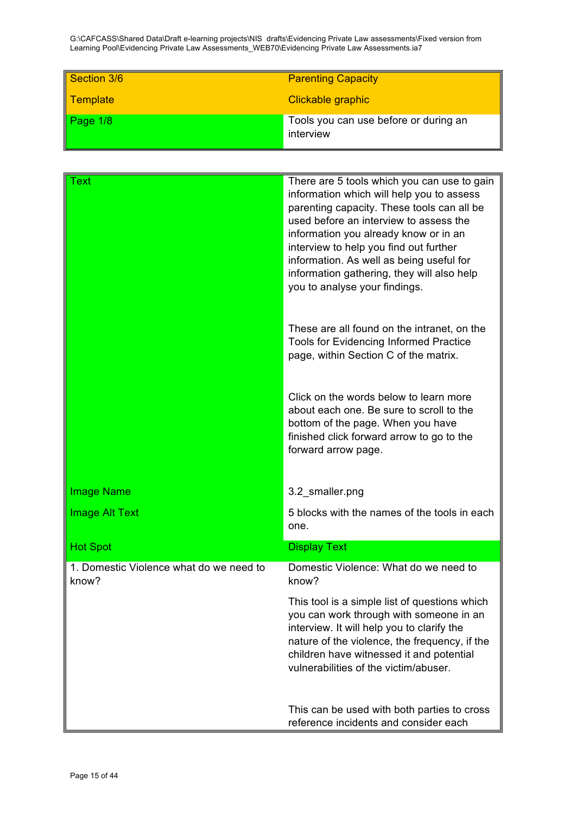| Section 3/6     | <b>Parenting Capacity</b>                          |
|-----------------|----------------------------------------------------|
| <b>Template</b> | Clickable graphic                                  |
| Page 1/8        | Tools you can use before or during an<br>interview |

| Text                                             | There are 5 tools which you can use to gain<br>information which will help you to assess<br>parenting capacity. These tools can all be<br>used before an interview to assess the<br>information you already know or in an<br>interview to help you find out further<br>information. As well as being useful for<br>information gathering, they will also help<br>you to analyse your findings.<br>These are all found on the intranet, on the |
|--------------------------------------------------|-----------------------------------------------------------------------------------------------------------------------------------------------------------------------------------------------------------------------------------------------------------------------------------------------------------------------------------------------------------------------------------------------------------------------------------------------|
|                                                  | Tools for Evidencing Informed Practice<br>page, within Section C of the matrix.                                                                                                                                                                                                                                                                                                                                                               |
|                                                  | Click on the words below to learn more<br>about each one. Be sure to scroll to the<br>bottom of the page. When you have<br>finished click forward arrow to go to the<br>forward arrow page.                                                                                                                                                                                                                                                   |
| <b>Image Name</b>                                | 3.2_smaller.png                                                                                                                                                                                                                                                                                                                                                                                                                               |
| <b>Image Alt Text</b>                            | 5 blocks with the names of the tools in each<br>one.                                                                                                                                                                                                                                                                                                                                                                                          |
| <b>Hot Spot</b>                                  | <b>Display Text</b>                                                                                                                                                                                                                                                                                                                                                                                                                           |
| 1. Domestic Violence what do we need to<br>know? | Domestic Violence: What do we need to<br>know?                                                                                                                                                                                                                                                                                                                                                                                                |
|                                                  | This tool is a simple list of questions which<br>you can work through with someone in an<br>interview. It will help you to clarify the<br>nature of the violence, the frequency, if the<br>children have witnessed it and potential<br>vulnerabilities of the victim/abuser.                                                                                                                                                                  |
|                                                  | This can be used with both parties to cross<br>reference incidents and consider each                                                                                                                                                                                                                                                                                                                                                          |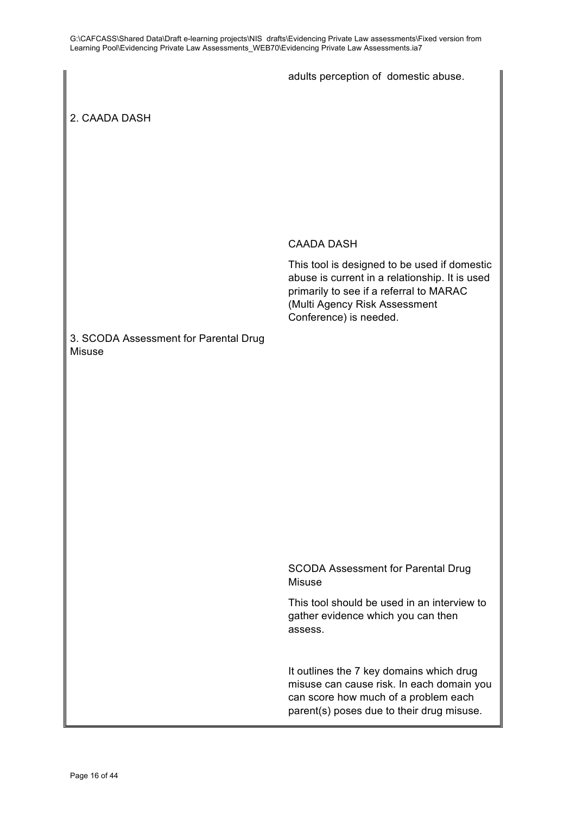adults perception of domestic abuse.

2. CAADA DASH

### CAADA DASH

This tool is designed to be used if domestic abuse is current in a relationship. It is used primarily to see if a referral to MARAC (Multi Agency Risk Assessment Conference) is needed.

# 3. SCODA Assessment for Parental Drug Misuse

SCODA Assessment for Parental Drug Misuse

This tool should be used in an interview to gather evidence which you can then assess.

It outlines the 7 key domains which drug misuse can cause risk. In each domain you can score how much of a problem each parent(s) poses due to their drug misuse.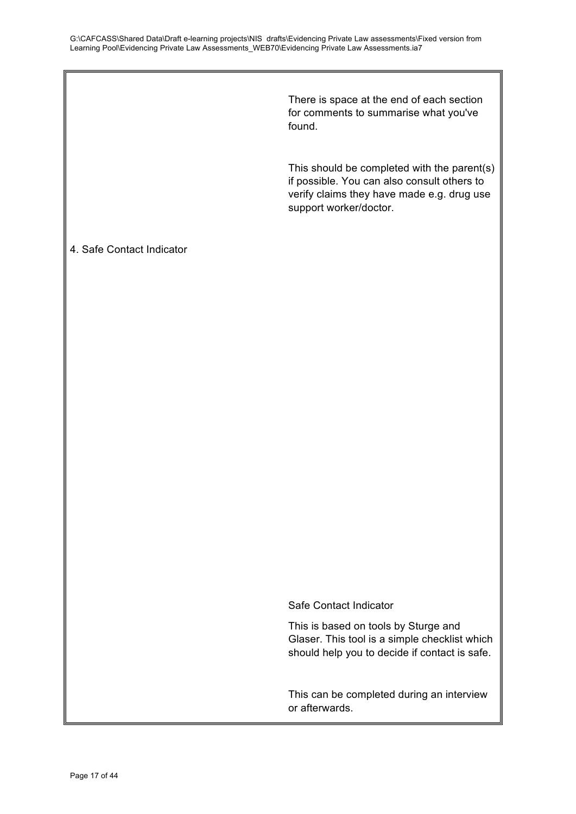There is space at the end of each section for comments to summarise what you've found.

This should be completed with the parent(s) if possible. You can also consult others to verify claims they have made e.g. drug use support worker/doctor.

# 4. Safe Contact Indicator

Safe Contact Indicator

This is based on tools by Sturge and Glaser. This tool is a simple checklist which should help you to decide if contact is safe.

This can be completed during an interview or afterwards.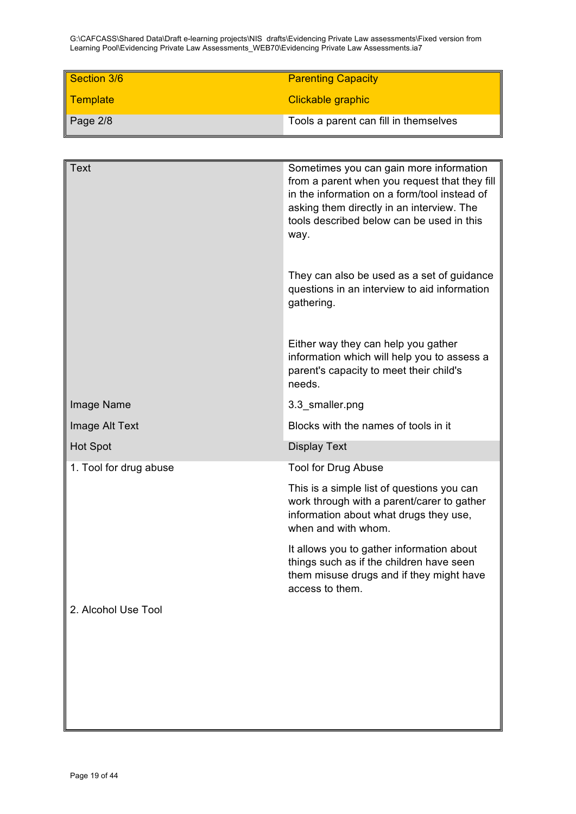| Section 3/6      | <b>Parenting Capacity</b>             |
|------------------|---------------------------------------|
| <b>Template</b>  | Clickable graphic                     |
| $\vert$ Page 2/8 | Tools a parent can fill in themselves |

| <b>Text</b>            | Sometimes you can gain more information<br>from a parent when you request that they fill<br>in the information on a form/tool instead of<br>asking them directly in an interview. The<br>tools described below can be used in this<br>way.<br>They can also be used as a set of guidance<br>questions in an interview to aid information<br>gathering. |
|------------------------|--------------------------------------------------------------------------------------------------------------------------------------------------------------------------------------------------------------------------------------------------------------------------------------------------------------------------------------------------------|
|                        | Either way they can help you gather<br>information which will help you to assess a<br>parent's capacity to meet their child's<br>needs.                                                                                                                                                                                                                |
| Image Name             | 3.3_smaller.png                                                                                                                                                                                                                                                                                                                                        |
| Image Alt Text         | Blocks with the names of tools in it                                                                                                                                                                                                                                                                                                                   |
| <b>Hot Spot</b>        | <b>Display Text</b>                                                                                                                                                                                                                                                                                                                                    |
| 1. Tool for drug abuse | Tool for Drug Abuse                                                                                                                                                                                                                                                                                                                                    |
|                        | This is a simple list of questions you can<br>work through with a parent/carer to gather<br>information about what drugs they use,<br>when and with whom.                                                                                                                                                                                              |
|                        | It allows you to gather information about<br>things such as if the children have seen<br>them misuse drugs and if they might have<br>access to them.                                                                                                                                                                                                   |
| 2. Alcohol Use Tool    |                                                                                                                                                                                                                                                                                                                                                        |
|                        |                                                                                                                                                                                                                                                                                                                                                        |
|                        |                                                                                                                                                                                                                                                                                                                                                        |
|                        |                                                                                                                                                                                                                                                                                                                                                        |
|                        |                                                                                                                                                                                                                                                                                                                                                        |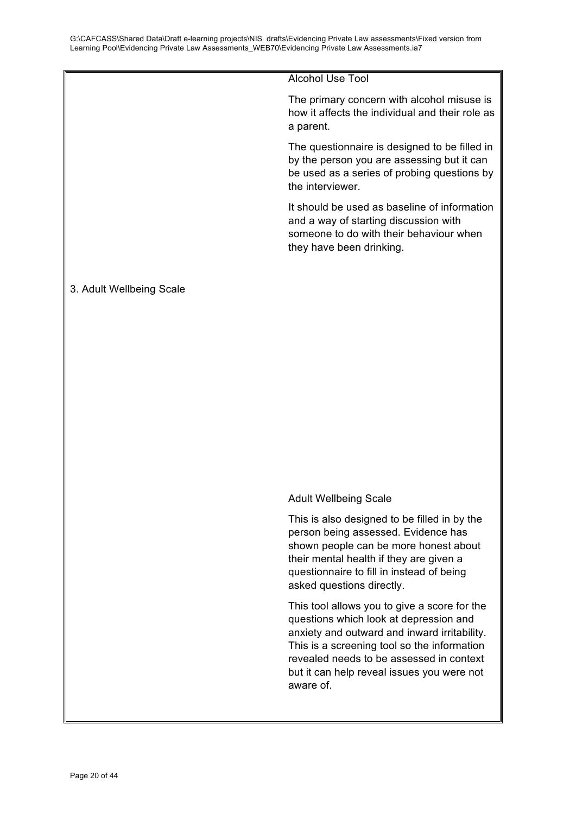Alcohol Use Tool

The primary concern with alcohol misuse is how it affects the individual and their role as a parent.

The questionnaire is designed to be filled in by the person you are assessing but it can be used as a series of probing questions by the interviewer.

It should be used as baseline of information and a way of starting discussion with someone to do with their behaviour when they have been drinking.

### 3. Adult Wellbeing Scale

### Adult Wellbeing Scale

This is also designed to be filled in by the person being assessed. Evidence has shown people can be more honest about their mental health if they are given a questionnaire to fill in instead of being asked questions directly.

This tool allows you to give a score for the questions which look at depression and anxiety and outward and inward irritability. This is a screening tool so the information revealed needs to be assessed in context but it can help reveal issues you were not aware of.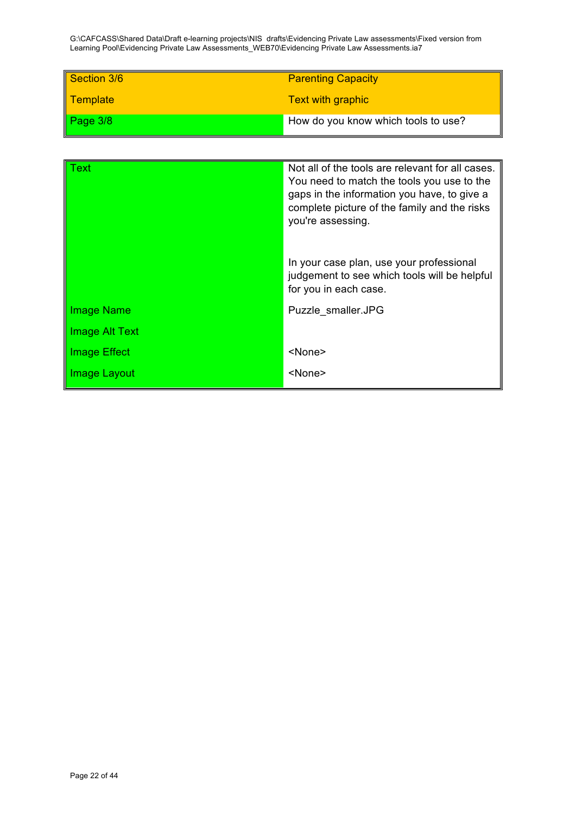| Section 3/6             | <b>Parenting Capacity</b>           |
|-------------------------|-------------------------------------|
| <mark>∥ Template</mark> | <b>Text with graphic</b>            |
| Page $3/8$              | How do you know which tools to use? |

| Text                | Not all of the tools are relevant for all cases. |
|---------------------|--------------------------------------------------|
|                     | You need to match the tools you use to the       |
|                     | gaps in the information you have, to give a      |
|                     | complete picture of the family and the risks     |
|                     |                                                  |
|                     | you're assessing.                                |
|                     |                                                  |
|                     |                                                  |
|                     | In your case plan, use your professional         |
|                     |                                                  |
|                     | judgement to see which tools will be helpful     |
|                     | for you in each case.                            |
|                     |                                                  |
| <b>Image Name</b>   | Puzzle smaller.JPG                               |
|                     |                                                  |
| Image Alt Text      |                                                  |
|                     |                                                  |
| <b>Image Effect</b> | <none></none>                                    |
|                     |                                                  |
| Image Layout        | <none></none>                                    |
|                     |                                                  |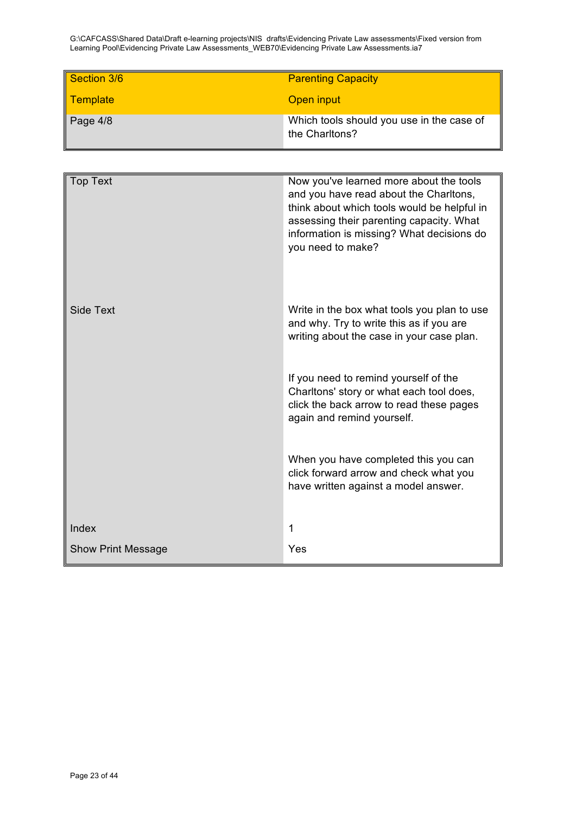| Section 3/6             | <b>Parenting Capacity</b>                 |
|-------------------------|-------------------------------------------|
|                         |                                           |
| <mark>∥ Template</mark> | Open input                                |
|                         |                                           |
| $\vert$ Page 4/8        | Which tools should you use in the case of |
|                         | the Charltons?                            |
|                         |                                           |

| <b>Top Text</b>           | Now you've learned more about the tools<br>and you have read about the Charltons,<br>think about which tools would be helpful in<br>assessing their parenting capacity. What<br>information is missing? What decisions do<br>you need to make? |
|---------------------------|------------------------------------------------------------------------------------------------------------------------------------------------------------------------------------------------------------------------------------------------|
| <b>Side Text</b>          | Write in the box what tools you plan to use<br>and why. Try to write this as if you are<br>writing about the case in your case plan.                                                                                                           |
|                           | If you need to remind yourself of the<br>Charltons' story or what each tool does,<br>click the back arrow to read these pages<br>again and remind yourself.                                                                                    |
|                           | When you have completed this you can<br>click forward arrow and check what you<br>have written against a model answer.                                                                                                                         |
| Index                     | 1                                                                                                                                                                                                                                              |
| <b>Show Print Message</b> | Yes                                                                                                                                                                                                                                            |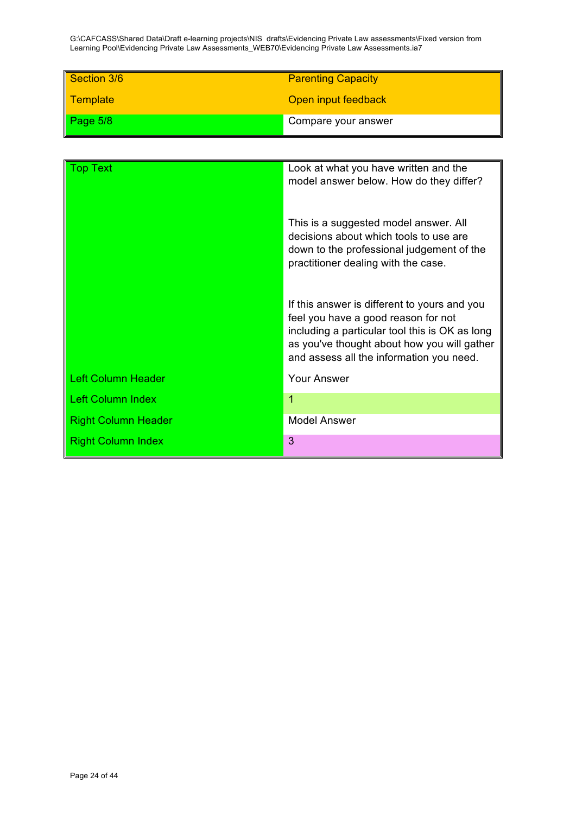| Section 3/6 | <b>Parenting Capacity</b> |
|-------------|---------------------------|
| Template    | Open input feedback       |
| Page $5/8$  | Compare your answer       |

| <b>Fop Text</b>            | Look at what you have written and the<br>model answer below. How do they differ?                                                                                                                                                 |
|----------------------------|----------------------------------------------------------------------------------------------------------------------------------------------------------------------------------------------------------------------------------|
|                            | This is a suggested model answer. All<br>decisions about which tools to use are<br>down to the professional judgement of the<br>practitioner dealing with the case.                                                              |
|                            | If this answer is different to yours and you<br>feel you have a good reason for not<br>including a particular tool this is OK as long<br>as you've thought about how you will gather<br>and assess all the information you need. |
| <b>Left Column Header</b>  | <b>Your Answer</b>                                                                                                                                                                                                               |
| <b>Left Column Index</b>   |                                                                                                                                                                                                                                  |
| <b>Right Column Header</b> | <b>Model Answer</b>                                                                                                                                                                                                              |
| <b>Right Column Index</b>  | 3                                                                                                                                                                                                                                |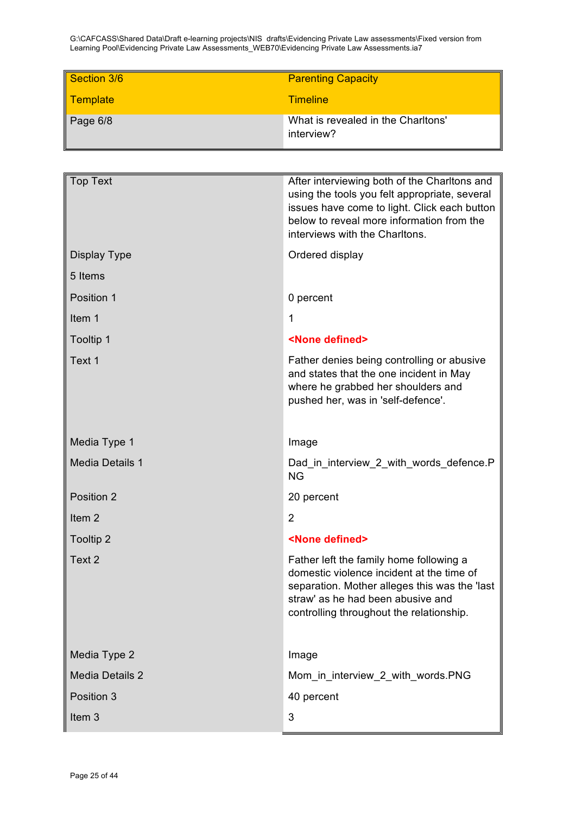| Section 3/6 | <b>Parenting Capacity</b>                        |
|-------------|--------------------------------------------------|
| Template    | <b>Timeline</b>                                  |
| Page $6/8$  | What is revealed in the Charltons'<br>interview? |

| <b>Top Text</b>        | After interviewing both of the Charltons and<br>using the tools you felt appropriate, several<br>issues have come to light. Click each button<br>below to reveal more information from the<br>interviews with the Charltons. |
|------------------------|------------------------------------------------------------------------------------------------------------------------------------------------------------------------------------------------------------------------------|
| Display Type           | Ordered display                                                                                                                                                                                                              |
| 5 Items                |                                                                                                                                                                                                                              |
| Position 1             | 0 percent                                                                                                                                                                                                                    |
| Item 1                 | 1                                                                                                                                                                                                                            |
| Tooltip 1              | <none defined=""></none>                                                                                                                                                                                                     |
| Text 1                 | Father denies being controlling or abusive<br>and states that the one incident in May<br>where he grabbed her shoulders and<br>pushed her, was in 'self-defence'.                                                            |
| Media Type 1           | Image                                                                                                                                                                                                                        |
| <b>Media Details 1</b> | Dad in interview 2 with words defence.P<br><b>NG</b>                                                                                                                                                                         |
| Position 2             | 20 percent                                                                                                                                                                                                                   |
| Item <sub>2</sub>      | $\overline{2}$                                                                                                                                                                                                               |
| <b>Tooltip 2</b>       | <none defined=""></none>                                                                                                                                                                                                     |
| Text 2                 | Father left the family home following a<br>domestic violence incident at the time of<br>separation. Mother alleges this was the 'last<br>straw' as he had been abusive and<br>controlling throughout the relationship.       |
| Media Type 2           | Image                                                                                                                                                                                                                        |
| <b>Media Details 2</b> | Mom_in_interview_2_with_words.PNG                                                                                                                                                                                            |
| Position 3             | 40 percent                                                                                                                                                                                                                   |
| Item <sub>3</sub>      | 3                                                                                                                                                                                                                            |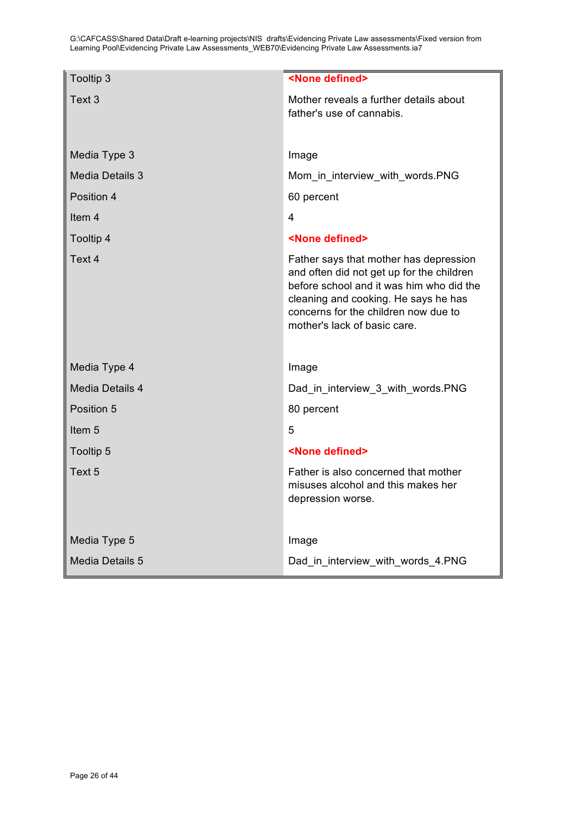| Tooltip 3              | <none defined=""></none>                                                                                                                                                                                                                        |
|------------------------|-------------------------------------------------------------------------------------------------------------------------------------------------------------------------------------------------------------------------------------------------|
| Text 3                 | Mother reveals a further details about<br>father's use of cannabis.                                                                                                                                                                             |
|                        |                                                                                                                                                                                                                                                 |
| Media Type 3           | Image                                                                                                                                                                                                                                           |
| <b>Media Details 3</b> | Mom in interview with words.PNG                                                                                                                                                                                                                 |
| Position 4             | 60 percent                                                                                                                                                                                                                                      |
| Item <sub>4</sub>      | 4                                                                                                                                                                                                                                               |
| Tooltip 4              | <none defined=""></none>                                                                                                                                                                                                                        |
| Text 4                 | Father says that mother has depression<br>and often did not get up for the children<br>before school and it was him who did the<br>cleaning and cooking. He says he has<br>concerns for the children now due to<br>mother's lack of basic care. |
| Media Type 4           | Image                                                                                                                                                                                                                                           |
| <b>Media Details 4</b> | Dad in interview 3 with words.PNG                                                                                                                                                                                                               |
| Position 5             | 80 percent                                                                                                                                                                                                                                      |
| Item <sub>5</sub>      | 5                                                                                                                                                                                                                                               |
| Tooltip 5              | <none defined=""></none>                                                                                                                                                                                                                        |
| Text 5                 | Father is also concerned that mother<br>misuses alcohol and this makes her<br>depression worse.                                                                                                                                                 |
| Media Type 5           | Image                                                                                                                                                                                                                                           |
| Media Details 5        | Dad in interview with words 4.PNG                                                                                                                                                                                                               |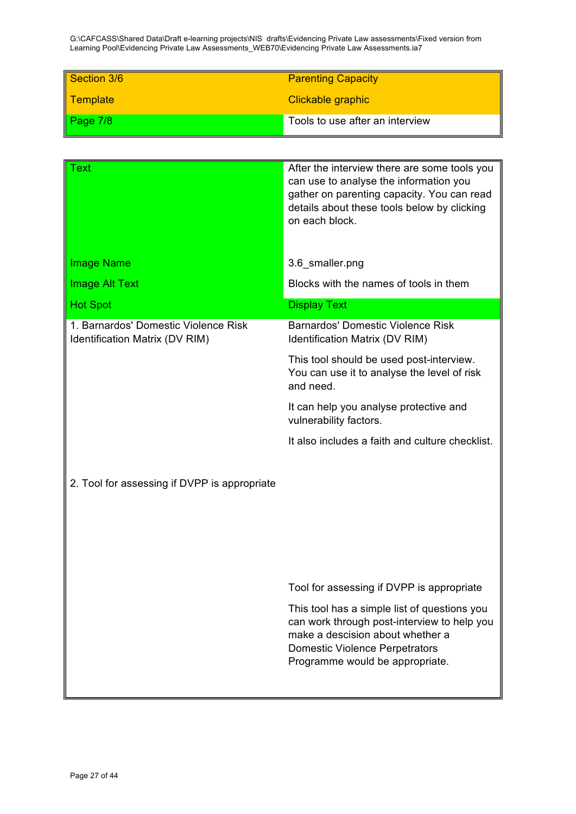| Section 3/6     | <b>Parenting Capacity</b>       |
|-----------------|---------------------------------|
| <b>Template</b> | Clickable graphic               |
| Page $7/8$      | Tools to use after an interview |

| Text                                                                   | After the interview there are some tools you<br>can use to analyse the information you<br>gather on parenting capacity. You can read<br>details about these tools below by clicking<br>on each block.       |
|------------------------------------------------------------------------|-------------------------------------------------------------------------------------------------------------------------------------------------------------------------------------------------------------|
| <b>Image Name</b>                                                      | 3.6 smaller.png                                                                                                                                                                                             |
| <b>Image Alt Text</b>                                                  | Blocks with the names of tools in them                                                                                                                                                                      |
| <b>Hot Spot</b>                                                        | <b>Display Text</b>                                                                                                                                                                                         |
| 1. Barnardos' Domestic Violence Risk<br>Identification Matrix (DV RIM) | Barnardos' Domestic Violence Risk<br>Identification Matrix (DV RIM)                                                                                                                                         |
|                                                                        | This tool should be used post-interview.<br>You can use it to analyse the level of risk<br>and need.                                                                                                        |
|                                                                        | It can help you analyse protective and<br>vulnerability factors.                                                                                                                                            |
|                                                                        | It also includes a faith and culture checklist.                                                                                                                                                             |
| 2. Tool for assessing if DVPP is appropriate                           |                                                                                                                                                                                                             |
|                                                                        | Tool for assessing if DVPP is appropriate                                                                                                                                                                   |
|                                                                        | This tool has a simple list of questions you<br>can work through post-interview to help you<br>make a descision about whether a<br><b>Domestic Violence Perpetrators</b><br>Programme would be appropriate. |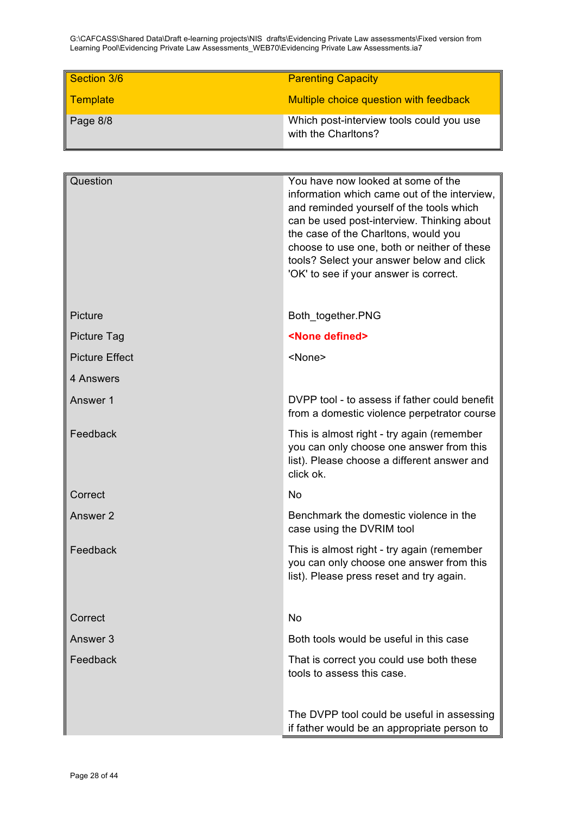| Section 3/6 | <b>Parenting Capacity</b>                                       |
|-------------|-----------------------------------------------------------------|
| Template    | Multiple choice question with feedback                          |
| Page 8/8    | Which post-interview tools could you use<br>with the Charltons? |

| Question              | You have now looked at some of the<br>information which came out of the interview,<br>and reminded yourself of the tools which<br>can be used post-interview. Thinking about<br>the case of the Charltons, would you<br>choose to use one, both or neither of these<br>tools? Select your answer below and click<br>'OK' to see if your answer is correct. |
|-----------------------|------------------------------------------------------------------------------------------------------------------------------------------------------------------------------------------------------------------------------------------------------------------------------------------------------------------------------------------------------------|
| Picture               | Both_together.PNG                                                                                                                                                                                                                                                                                                                                          |
| Picture Tag           | <none defined=""></none>                                                                                                                                                                                                                                                                                                                                   |
| <b>Picture Effect</b> | <none></none>                                                                                                                                                                                                                                                                                                                                              |
| 4 Answers             |                                                                                                                                                                                                                                                                                                                                                            |
| Answer 1              | DVPP tool - to assess if father could benefit<br>from a domestic violence perpetrator course                                                                                                                                                                                                                                                               |
| Feedback              | This is almost right - try again (remember<br>you can only choose one answer from this<br>list). Please choose a different answer and<br>click ok.                                                                                                                                                                                                         |
| Correct               | <b>No</b>                                                                                                                                                                                                                                                                                                                                                  |
| Answer 2              | Benchmark the domestic violence in the<br>case using the DVRIM tool                                                                                                                                                                                                                                                                                        |
| Feedback              | This is almost right - try again (remember<br>you can only choose one answer from this<br>list). Please press reset and try again.                                                                                                                                                                                                                         |
| Correct               | No                                                                                                                                                                                                                                                                                                                                                         |
| Answer 3              | Both tools would be useful in this case                                                                                                                                                                                                                                                                                                                    |
| Feedback              | That is correct you could use both these<br>tools to assess this case.                                                                                                                                                                                                                                                                                     |
|                       | The DVPP tool could be useful in assessing<br>if father would be an appropriate person to                                                                                                                                                                                                                                                                  |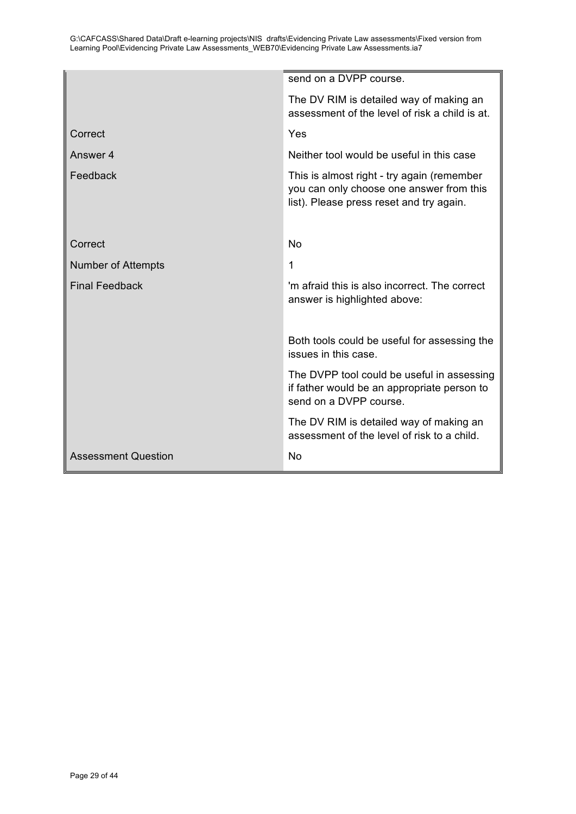|                            | send on a DVPP course.                                                                                                             |
|----------------------------|------------------------------------------------------------------------------------------------------------------------------------|
|                            | The DV RIM is detailed way of making an<br>assessment of the level of risk a child is at.                                          |
| Correct                    | Yes                                                                                                                                |
| Answer 4                   | Neither tool would be useful in this case                                                                                          |
| Feedback                   | This is almost right - try again (remember<br>you can only choose one answer from this<br>list). Please press reset and try again. |
| Correct                    | <b>No</b>                                                                                                                          |
| <b>Number of Attempts</b>  | 1                                                                                                                                  |
| <b>Final Feedback</b>      | 'm afraid this is also incorrect. The correct<br>answer is highlighted above:                                                      |
|                            | Both tools could be useful for assessing the<br>issues in this case.                                                               |
|                            | The DVPP tool could be useful in assessing<br>if father would be an appropriate person to<br>send on a DVPP course.                |
|                            | The DV RIM is detailed way of making an<br>assessment of the level of risk to a child.                                             |
| <b>Assessment Question</b> | No                                                                                                                                 |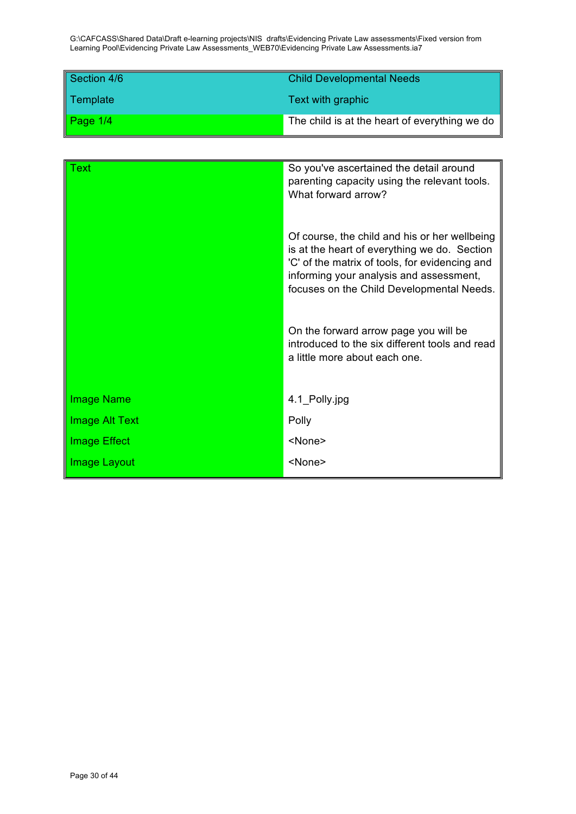| Section 4/6 | <b>Child Developmental Needs</b>              |
|-------------|-----------------------------------------------|
| Template    | Text with graphic                             |
| Page $1/4$  | The child is at the heart of everything we do |

| Text           | So you've ascertained the detail around<br>parenting capacity using the relevant tools.<br>What forward arrow?                                                                                                                          |
|----------------|-----------------------------------------------------------------------------------------------------------------------------------------------------------------------------------------------------------------------------------------|
|                | Of course, the child and his or her wellbeing<br>is at the heart of everything we do. Section<br>'C' of the matrix of tools, for evidencing and<br>informing your analysis and assessment,<br>focuses on the Child Developmental Needs. |
|                | On the forward arrow page you will be<br>introduced to the six different tools and read<br>a little more about each one.                                                                                                                |
| Image Name     | 4.1_Polly.jpg                                                                                                                                                                                                                           |
| Image Alt Text | Polly                                                                                                                                                                                                                                   |
| Image Effect   | <none></none>                                                                                                                                                                                                                           |
| Image Layout   | <none></none>                                                                                                                                                                                                                           |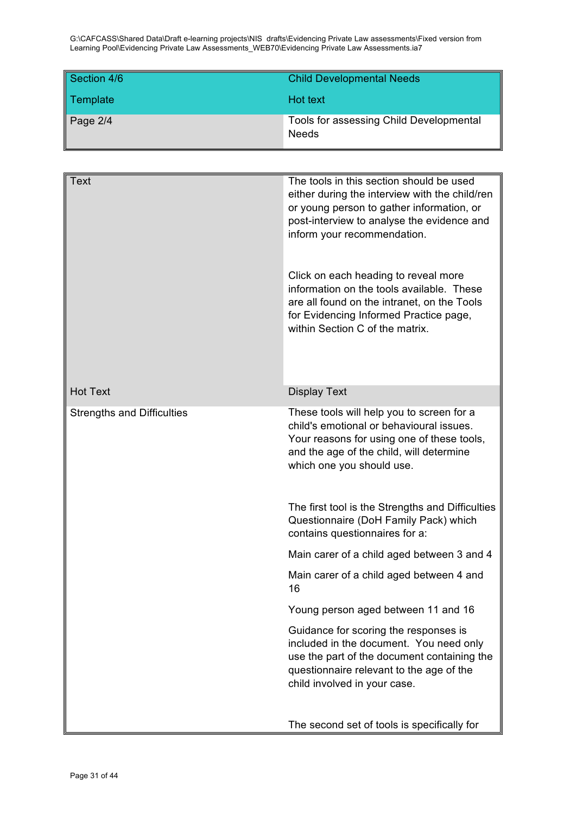| Section 4/6 | <b>Child Developmental Needs</b>                        |
|-------------|---------------------------------------------------------|
| Template    | <b>Hot text</b>                                         |
| Page $2/4$  | Tools for assessing Child Developmental<br><b>Needs</b> |

| Text                              | The tools in this section should be used<br>either during the interview with the child/ren<br>or young person to gather information, or<br>post-interview to analyse the evidence and<br>inform your recommendation.<br>Click on each heading to reveal more<br>information on the tools available. These<br>are all found on the intranet, on the Tools<br>for Evidencing Informed Practice page,<br>within Section C of the matrix. |
|-----------------------------------|---------------------------------------------------------------------------------------------------------------------------------------------------------------------------------------------------------------------------------------------------------------------------------------------------------------------------------------------------------------------------------------------------------------------------------------|
| <b>Hot Text</b>                   | <b>Display Text</b>                                                                                                                                                                                                                                                                                                                                                                                                                   |
| <b>Strengths and Difficulties</b> | These tools will help you to screen for a<br>child's emotional or behavioural issues.<br>Your reasons for using one of these tools,<br>and the age of the child, will determine<br>which one you should use.                                                                                                                                                                                                                          |
|                                   | The first tool is the Strengths and Difficulties<br>Questionnaire (DoH Family Pack) which<br>contains questionnaires for a:                                                                                                                                                                                                                                                                                                           |
|                                   | Main carer of a child aged between 3 and 4                                                                                                                                                                                                                                                                                                                                                                                            |
|                                   | Main carer of a child aged between 4 and<br>16                                                                                                                                                                                                                                                                                                                                                                                        |
|                                   | Young person aged between 11 and 16                                                                                                                                                                                                                                                                                                                                                                                                   |
|                                   | Guidance for scoring the responses is<br>included in the document. You need only<br>use the part of the document containing the<br>questionnaire relevant to the age of the<br>child involved in your case.                                                                                                                                                                                                                           |
|                                   | The second set of tools is specifically for                                                                                                                                                                                                                                                                                                                                                                                           |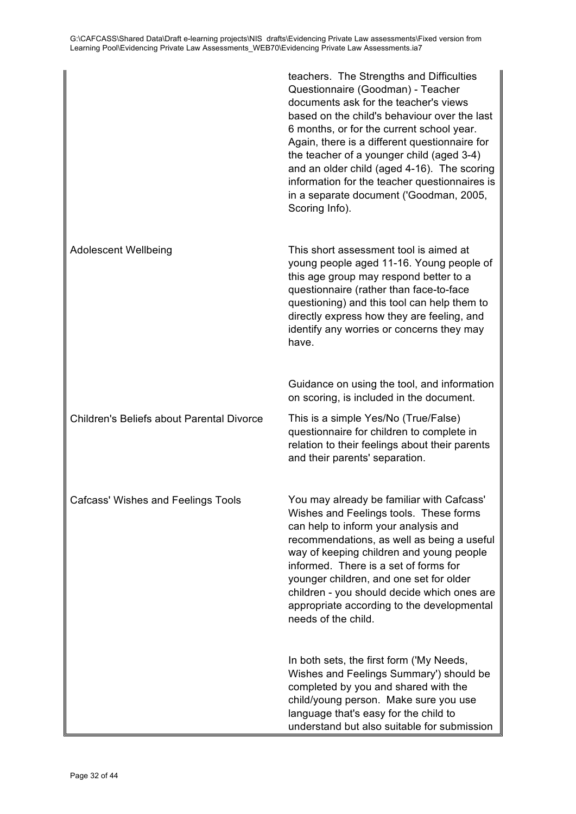|                                                  | teachers. The Strengths and Difficulties<br>Questionnaire (Goodman) - Teacher<br>documents ask for the teacher's views<br>based on the child's behaviour over the last<br>6 months, or for the current school year.<br>Again, there is a different questionnaire for<br>the teacher of a younger child (aged 3-4)<br>and an older child (aged 4-16). The scoring<br>information for the teacher questionnaires is<br>in a separate document ('Goodman, 2005,<br>Scoring Info). |
|--------------------------------------------------|--------------------------------------------------------------------------------------------------------------------------------------------------------------------------------------------------------------------------------------------------------------------------------------------------------------------------------------------------------------------------------------------------------------------------------------------------------------------------------|
| <b>Adolescent Wellbeing</b>                      | This short assessment tool is aimed at<br>young people aged 11-16. Young people of<br>this age group may respond better to a<br>questionnaire (rather than face-to-face<br>questioning) and this tool can help them to<br>directly express how they are feeling, and<br>identify any worries or concerns they may<br>have.                                                                                                                                                     |
|                                                  | Guidance on using the tool, and information<br>on scoring, is included in the document.                                                                                                                                                                                                                                                                                                                                                                                        |
| <b>Children's Beliefs about Parental Divorce</b> | This is a simple Yes/No (True/False)<br>questionnaire for children to complete in<br>relation to their feelings about their parents<br>and their parents' separation.                                                                                                                                                                                                                                                                                                          |
| <b>Cafcass' Wishes and Feelings Tools</b>        | You may already be familiar with Cafcass'<br>Wishes and Feelings tools. These forms<br>can help to inform your analysis and<br>recommendations, as well as being a useful<br>way of keeping children and young people<br>informed. There is a set of forms for<br>younger children, and one set for older<br>children - you should decide which ones are<br>appropriate according to the developmental<br>needs of the child.                                                  |
|                                                  | In both sets, the first form ('My Needs,<br>Wishes and Feelings Summary') should be<br>completed by you and shared with the<br>child/young person. Make sure you use<br>language that's easy for the child to<br>understand but also suitable for submission                                                                                                                                                                                                                   |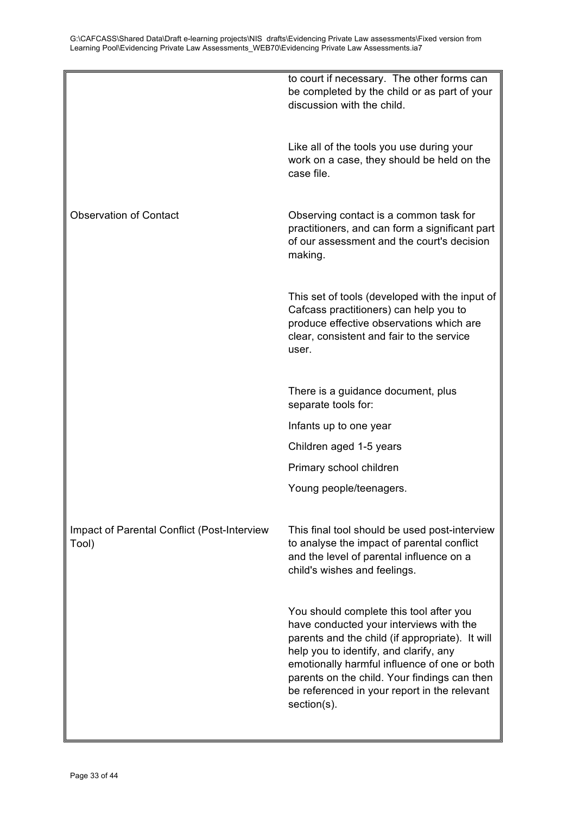|                                                      | to court if necessary. The other forms can<br>be completed by the child or as part of your<br>discussion with the child.                                                                                                                                                                                                                       |
|------------------------------------------------------|------------------------------------------------------------------------------------------------------------------------------------------------------------------------------------------------------------------------------------------------------------------------------------------------------------------------------------------------|
|                                                      | Like all of the tools you use during your<br>work on a case, they should be held on the<br>case file.                                                                                                                                                                                                                                          |
| <b>Observation of Contact</b>                        | Observing contact is a common task for<br>practitioners, and can form a significant part<br>of our assessment and the court's decision<br>making.                                                                                                                                                                                              |
|                                                      | This set of tools (developed with the input of<br>Cafcass practitioners) can help you to<br>produce effective observations which are<br>clear, consistent and fair to the service<br>user.                                                                                                                                                     |
|                                                      | There is a guidance document, plus<br>separate tools for:                                                                                                                                                                                                                                                                                      |
|                                                      | Infants up to one year                                                                                                                                                                                                                                                                                                                         |
|                                                      | Children aged 1-5 years                                                                                                                                                                                                                                                                                                                        |
|                                                      | Primary school children                                                                                                                                                                                                                                                                                                                        |
|                                                      | Young people/teenagers.                                                                                                                                                                                                                                                                                                                        |
| Impact of Parental Conflict (Post-Interview<br>Tool) | This final tool should be used post-interview<br>to analyse the impact of parental conflict<br>and the level of parental influence on a<br>child's wishes and feelings.                                                                                                                                                                        |
|                                                      | You should complete this tool after you<br>have conducted your interviews with the<br>parents and the child (if appropriate). It will<br>help you to identify, and clarify, any<br>emotionally harmful influence of one or both<br>parents on the child. Your findings can then<br>be referenced in your report in the relevant<br>section(s). |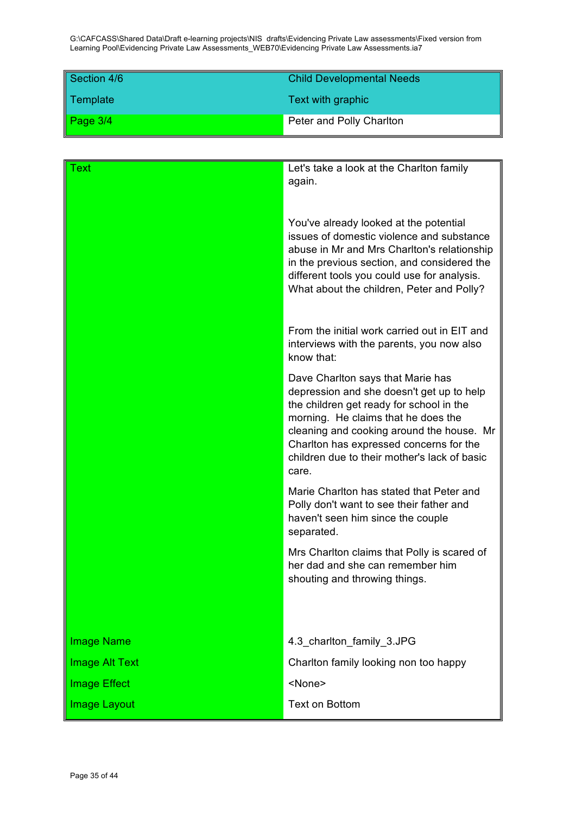| Section 4/6 | <b>Child Developmental Needs</b> |
|-------------|----------------------------------|
| Template    | Text with graphic                |
| Page 3/4    | Peter and Polly Charlton         |

| Γext                  | Let's take a look at the Charlton family<br>again.                                                                                                                                                                                                                                                                 |
|-----------------------|--------------------------------------------------------------------------------------------------------------------------------------------------------------------------------------------------------------------------------------------------------------------------------------------------------------------|
|                       | You've already looked at the potential<br>issues of domestic violence and substance<br>abuse in Mr and Mrs Charlton's relationship<br>in the previous section, and considered the<br>different tools you could use for analysis.<br>What about the children, Peter and Polly?                                      |
|                       | From the initial work carried out in EIT and<br>interviews with the parents, you now also<br>know that:                                                                                                                                                                                                            |
|                       | Dave Charlton says that Marie has<br>depression and she doesn't get up to help<br>the children get ready for school in the<br>morning. He claims that he does the<br>cleaning and cooking around the house. Mr<br>Charlton has expressed concerns for the<br>children due to their mother's lack of basic<br>care. |
|                       | Marie Charlton has stated that Peter and<br>Polly don't want to see their father and<br>haven't seen him since the couple<br>separated.                                                                                                                                                                            |
|                       | Mrs Charlton claims that Polly is scared of<br>her dad and she can remember him<br>shouting and throwing things.                                                                                                                                                                                                   |
|                       |                                                                                                                                                                                                                                                                                                                    |
| <b>Image Name</b>     | 4.3_charlton_family_3.JPG                                                                                                                                                                                                                                                                                          |
| <b>Image Alt Text</b> | Charlton family looking non too happy                                                                                                                                                                                                                                                                              |
| <b>Image Effect</b>   | <none></none>                                                                                                                                                                                                                                                                                                      |
| <b>Image Layout</b>   | <b>Text on Bottom</b>                                                                                                                                                                                                                                                                                              |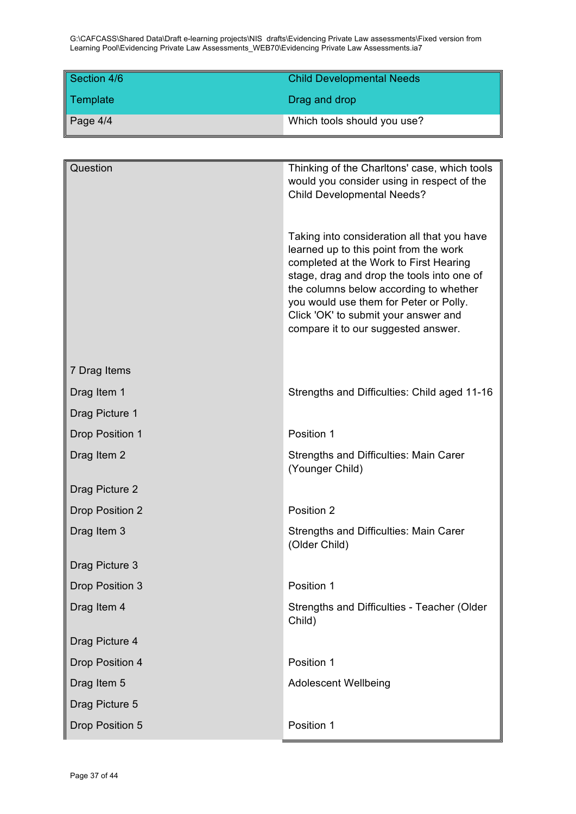| Section 4/6 | <b>Child Developmental Needs</b> |
|-------------|----------------------------------|
| Template    | Drag and drop                    |
| Page $4/4$  | Which tools should you use?      |

| Question               | Thinking of the Charltons' case, which tools<br>would you consider using in respect of the<br><b>Child Developmental Needs?</b><br>Taking into consideration all that you have<br>learned up to this point from the work<br>completed at the Work to First Hearing<br>stage, drag and drop the tools into one of<br>the columns below according to whether<br>you would use them for Peter or Polly.<br>Click 'OK' to submit your answer and<br>compare it to our suggested answer. |
|------------------------|-------------------------------------------------------------------------------------------------------------------------------------------------------------------------------------------------------------------------------------------------------------------------------------------------------------------------------------------------------------------------------------------------------------------------------------------------------------------------------------|
| 7 Drag Items           |                                                                                                                                                                                                                                                                                                                                                                                                                                                                                     |
| Drag Item 1            | Strengths and Difficulties: Child aged 11-16                                                                                                                                                                                                                                                                                                                                                                                                                                        |
| Drag Picture 1         |                                                                                                                                                                                                                                                                                                                                                                                                                                                                                     |
| <b>Drop Position 1</b> | Position 1                                                                                                                                                                                                                                                                                                                                                                                                                                                                          |
| Drag Item 2            | <b>Strengths and Difficulties: Main Carer</b><br>(Younger Child)                                                                                                                                                                                                                                                                                                                                                                                                                    |
| Drag Picture 2         |                                                                                                                                                                                                                                                                                                                                                                                                                                                                                     |
| <b>Drop Position 2</b> | Position 2                                                                                                                                                                                                                                                                                                                                                                                                                                                                          |
| Drag Item 3            | Strengths and Difficulties: Main Carer<br>(Older Child)                                                                                                                                                                                                                                                                                                                                                                                                                             |
| Drag Picture 3         |                                                                                                                                                                                                                                                                                                                                                                                                                                                                                     |
| Drop Position 3        | Position 1                                                                                                                                                                                                                                                                                                                                                                                                                                                                          |
| Drag Item 4            | Strengths and Difficulties - Teacher (Older<br>Child)                                                                                                                                                                                                                                                                                                                                                                                                                               |
| Drag Picture 4         |                                                                                                                                                                                                                                                                                                                                                                                                                                                                                     |
| Drop Position 4        | Position 1                                                                                                                                                                                                                                                                                                                                                                                                                                                                          |
| Drag Item 5            | <b>Adolescent Wellbeing</b>                                                                                                                                                                                                                                                                                                                                                                                                                                                         |
| Drag Picture 5         |                                                                                                                                                                                                                                                                                                                                                                                                                                                                                     |
| Drop Position 5        | Position 1                                                                                                                                                                                                                                                                                                                                                                                                                                                                          |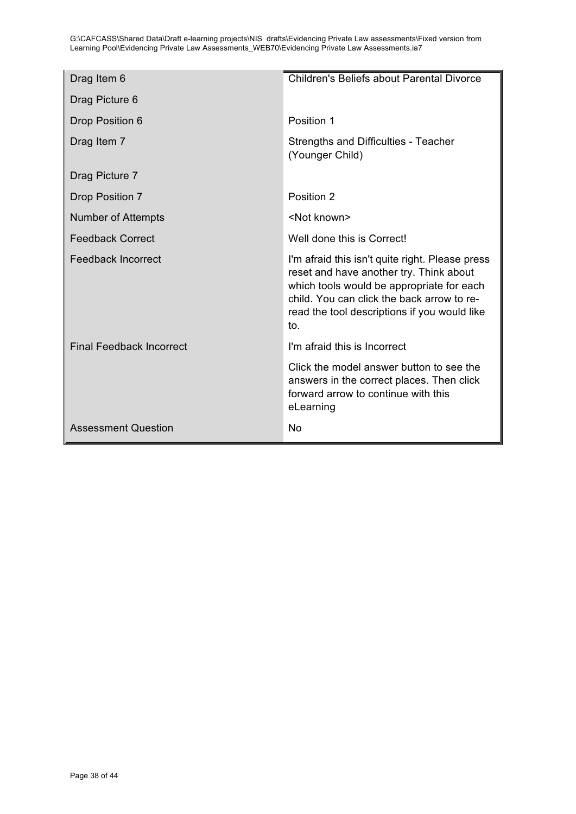| Drag Item 6                     | Children's Beliefs about Parental Divorce                                                                                                                                                                                                    |
|---------------------------------|----------------------------------------------------------------------------------------------------------------------------------------------------------------------------------------------------------------------------------------------|
| Drag Picture 6                  |                                                                                                                                                                                                                                              |
| Drop Position 6                 | Position 1                                                                                                                                                                                                                                   |
| Drag Item 7                     | Strengths and Difficulties - Teacher<br>(Younger Child)                                                                                                                                                                                      |
| Drag Picture 7                  |                                                                                                                                                                                                                                              |
| <b>Drop Position 7</b>          | Position 2                                                                                                                                                                                                                                   |
| Number of Attempts              | <not known=""></not>                                                                                                                                                                                                                         |
| <b>Feedback Correct</b>         | Well done this is Correct!                                                                                                                                                                                                                   |
| <b>Feedback Incorrect</b>       | I'm afraid this isn't quite right. Please press<br>reset and have another try. Think about<br>which tools would be appropriate for each<br>child. You can click the back arrow to re-<br>read the tool descriptions if you would like<br>to. |
| <b>Final Feedback Incorrect</b> | I'm afraid this is Incorrect                                                                                                                                                                                                                 |
|                                 | Click the model answer button to see the<br>answers in the correct places. Then click<br>forward arrow to continue with this<br>eLearning                                                                                                    |
| <b>Assessment Question</b>      | No                                                                                                                                                                                                                                           |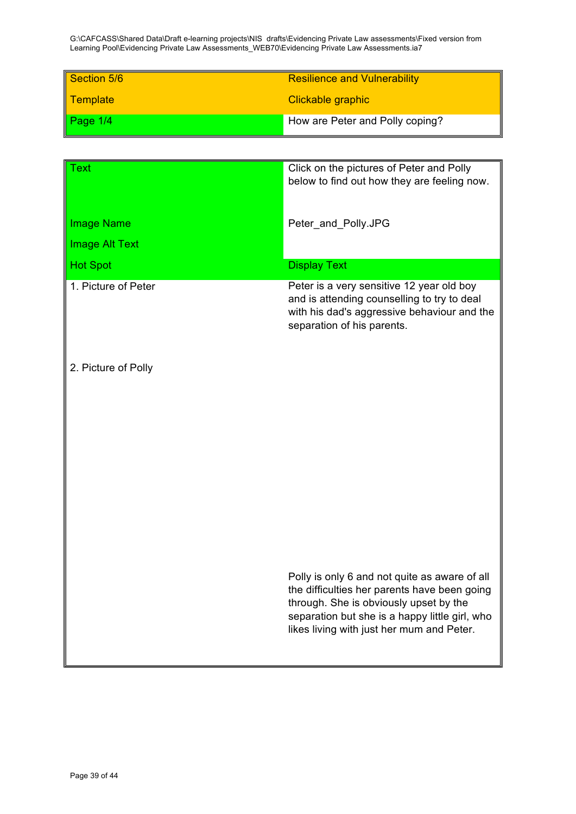| Section 5/6     | <b>Resilience and Vulnerability</b> |
|-----------------|-------------------------------------|
| <b>Template</b> | Clickable graphic                   |
| Page $1/4$      | How are Peter and Polly coping?     |

| Text                  | Click on the pictures of Peter and Polly<br>below to find out how they are feeling now.                                                                                                                                                |
|-----------------------|----------------------------------------------------------------------------------------------------------------------------------------------------------------------------------------------------------------------------------------|
|                       |                                                                                                                                                                                                                                        |
| <b>Image Name</b>     | Peter_and_Polly.JPG                                                                                                                                                                                                                    |
| <b>Image Alt Text</b> |                                                                                                                                                                                                                                        |
| <b>Hot Spot</b>       | <b>Display Text</b>                                                                                                                                                                                                                    |
| 1. Picture of Peter   | Peter is a very sensitive 12 year old boy<br>and is attending counselling to try to deal<br>with his dad's aggressive behaviour and the<br>separation of his parents.                                                                  |
| 2. Picture of Polly   |                                                                                                                                                                                                                                        |
|                       |                                                                                                                                                                                                                                        |
|                       |                                                                                                                                                                                                                                        |
|                       |                                                                                                                                                                                                                                        |
|                       |                                                                                                                                                                                                                                        |
|                       |                                                                                                                                                                                                                                        |
|                       |                                                                                                                                                                                                                                        |
|                       | Polly is only 6 and not quite as aware of all<br>the difficulties her parents have been going<br>through. She is obviously upset by the<br>separation but she is a happy little girl, who<br>likes living with just her mum and Peter. |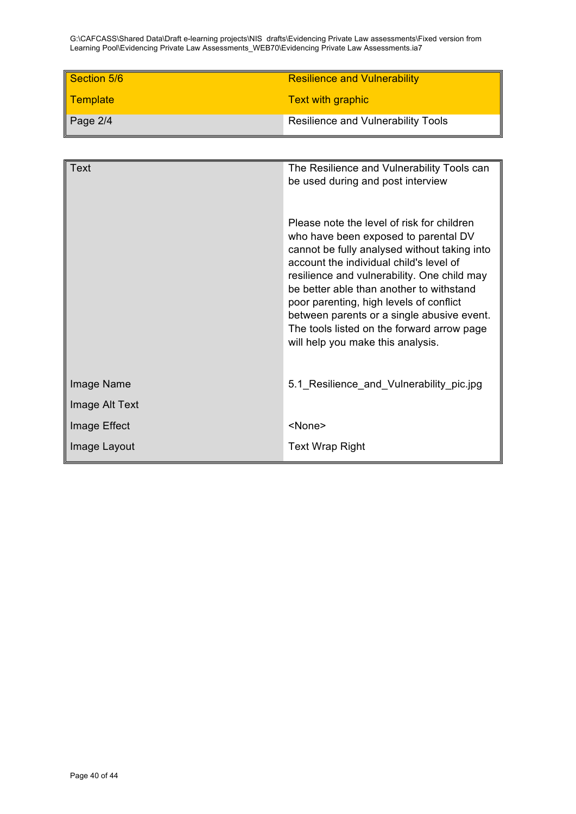| Section 5/6             | <b>Resilience and Vulnerability</b> |
|-------------------------|-------------------------------------|
| <mark>∥ Template</mark> | <b>Text with graphic</b>            |
| $\vert$ Page 2/4        | Resilience and Vulnerability Tools  |

| <b>Text</b>    | The Resilience and Vulnerability Tools can<br>be used during and post interview                                                                                                                                                                                                                                                                                                                                                                      |
|----------------|------------------------------------------------------------------------------------------------------------------------------------------------------------------------------------------------------------------------------------------------------------------------------------------------------------------------------------------------------------------------------------------------------------------------------------------------------|
|                | Please note the level of risk for children<br>who have been exposed to parental DV<br>cannot be fully analysed without taking into<br>account the individual child's level of<br>resilience and vulnerability. One child may<br>be better able than another to withstand<br>poor parenting, high levels of conflict<br>between parents or a single abusive event.<br>The tools listed on the forward arrow page<br>will help you make this analysis. |
| Image Name     | 5.1_Resilience_and_Vulnerability_pic.jpg                                                                                                                                                                                                                                                                                                                                                                                                             |
| Image Alt Text |                                                                                                                                                                                                                                                                                                                                                                                                                                                      |
| Image Effect   | <none></none>                                                                                                                                                                                                                                                                                                                                                                                                                                        |
| Image Layout   | <b>Text Wrap Right</b>                                                                                                                                                                                                                                                                                                                                                                                                                               |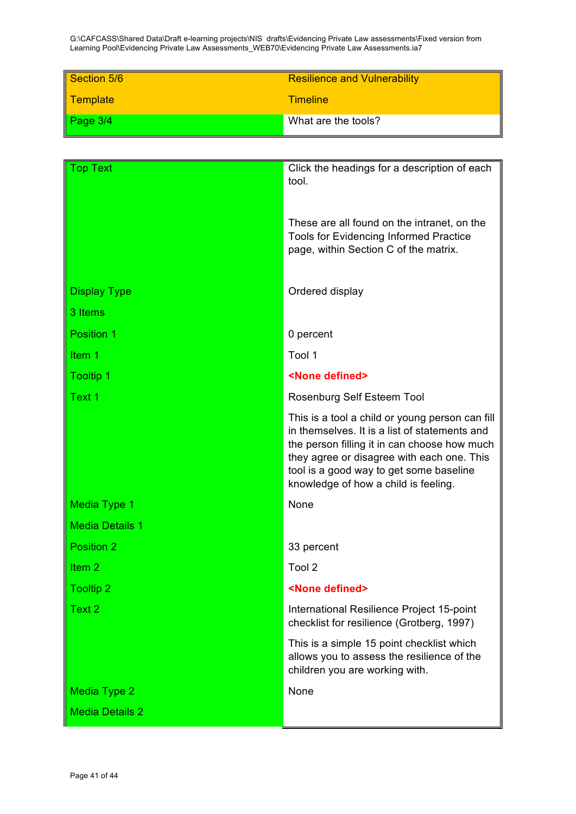| Section 5/6             | <b>Resilience and Vulnerability</b> |
|-------------------------|-------------------------------------|
| <mark>∥ Template</mark> | <b>Timeline</b>                     |
| Page $3/4$              | What are the tools?                 |

| Top Text               | Click the headings for a description of each<br>tool.                                                                                                                                                                                                                             |
|------------------------|-----------------------------------------------------------------------------------------------------------------------------------------------------------------------------------------------------------------------------------------------------------------------------------|
|                        | These are all found on the intranet, on the<br><b>Tools for Evidencing Informed Practice</b><br>page, within Section C of the matrix.                                                                                                                                             |
| <b>Display Type</b>    | Ordered display                                                                                                                                                                                                                                                                   |
| 3 Items                |                                                                                                                                                                                                                                                                                   |
| Position 1             | 0 percent                                                                                                                                                                                                                                                                         |
| Item 1                 | Tool 1                                                                                                                                                                                                                                                                            |
| <b>Tooltip 1</b>       | <none defined=""></none>                                                                                                                                                                                                                                                          |
| Text 1                 | Rosenburg Self Esteem Tool                                                                                                                                                                                                                                                        |
|                        | This is a tool a child or young person can fill<br>in themselves. It is a list of statements and<br>the person filling it in can choose how much<br>they agree or disagree with each one. This<br>tool is a good way to get some baseline<br>knowledge of how a child is feeling. |
| <b>Media Type 1</b>    | None                                                                                                                                                                                                                                                                              |
| <b>Media Details 1</b> |                                                                                                                                                                                                                                                                                   |
| Position 2             | 33 percent                                                                                                                                                                                                                                                                        |
| Item <sub>2</sub>      | Tool 2                                                                                                                                                                                                                                                                            |
| <b>Tooltip 2</b>       | <none defined=""></none>                                                                                                                                                                                                                                                          |
| Text 2                 | International Resilience Project 15-point<br>checklist for resilience (Grotberg, 1997)                                                                                                                                                                                            |
|                        | This is a simple 15 point checklist which<br>allows you to assess the resilience of the<br>children you are working with.                                                                                                                                                         |
| <b>Media Type 2</b>    | None                                                                                                                                                                                                                                                                              |
| <b>Media Details 2</b> |                                                                                                                                                                                                                                                                                   |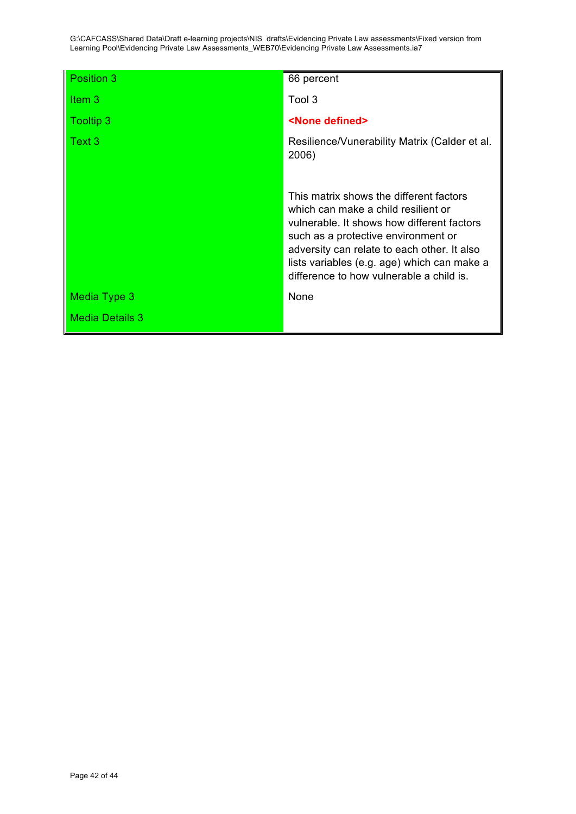| Position 3             | 66 percent                                                                                                                                                                                                                                                                                                    |
|------------------------|---------------------------------------------------------------------------------------------------------------------------------------------------------------------------------------------------------------------------------------------------------------------------------------------------------------|
| Item $3$               | Tool 3                                                                                                                                                                                                                                                                                                        |
| <b>Tooltip 3</b>       | <none defined=""></none>                                                                                                                                                                                                                                                                                      |
| Text 3                 | Resilience/Vunerability Matrix (Calder et al.<br>2006)                                                                                                                                                                                                                                                        |
|                        | This matrix shows the different factors<br>which can make a child resilient or<br>vulnerable. It shows how different factors<br>such as a protective environment or<br>adversity can relate to each other. It also<br>lists variables (e.g. age) which can make a<br>difference to how vulnerable a child is. |
| Media Type 3           | None                                                                                                                                                                                                                                                                                                          |
| <b>Media Details 3</b> |                                                                                                                                                                                                                                                                                                               |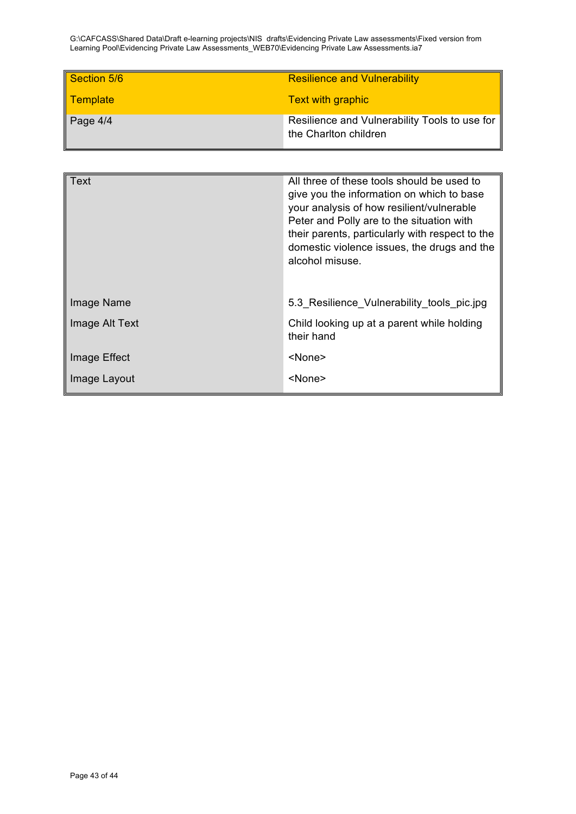| Section 5/6             | <b>Resilience and Vulnerability</b>                                    |
|-------------------------|------------------------------------------------------------------------|
| <mark>∥ Template</mark> | <b>Text with graphic</b>                                               |
| $\vert$ Page 4/4        | Resilience and Vulnerability Tools to use for<br>the Charlton children |

| Text           | All three of these tools should be used to<br>give you the information on which to base<br>your analysis of how resilient/vulnerable<br>Peter and Polly are to the situation with<br>their parents, particularly with respect to the<br>domestic violence issues, the drugs and the<br>alcohol misuse. |
|----------------|--------------------------------------------------------------------------------------------------------------------------------------------------------------------------------------------------------------------------------------------------------------------------------------------------------|
| Image Name     | 5.3 Resilience_Vulnerability_tools_pic.jpg                                                                                                                                                                                                                                                             |
| Image Alt Text | Child looking up at a parent while holding<br>their hand                                                                                                                                                                                                                                               |
| Image Effect   | <none></none>                                                                                                                                                                                                                                                                                          |
| Image Layout   | <none></none>                                                                                                                                                                                                                                                                                          |